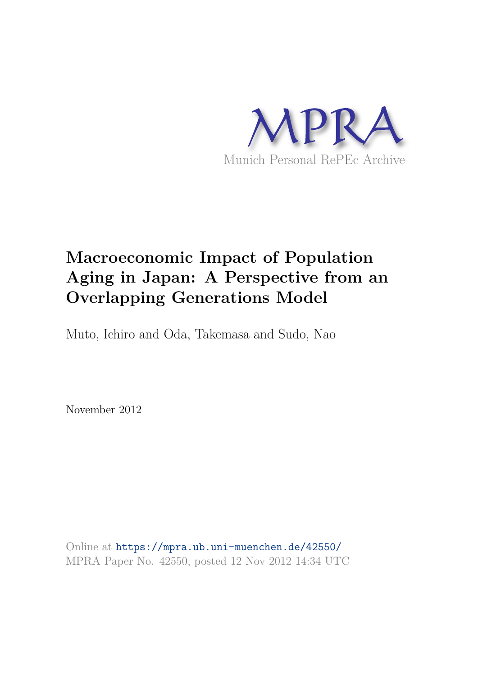

# **Macroeconomic Impact of Population Aging in Japan: A Perspective from an Overlapping Generations Model**

Muto, Ichiro and Oda, Takemasa and Sudo, Nao

November 2012

Online at https://mpra.ub.uni-muenchen.de/42550/ MPRA Paper No. 42550, posted 12 Nov 2012 14:34 UTC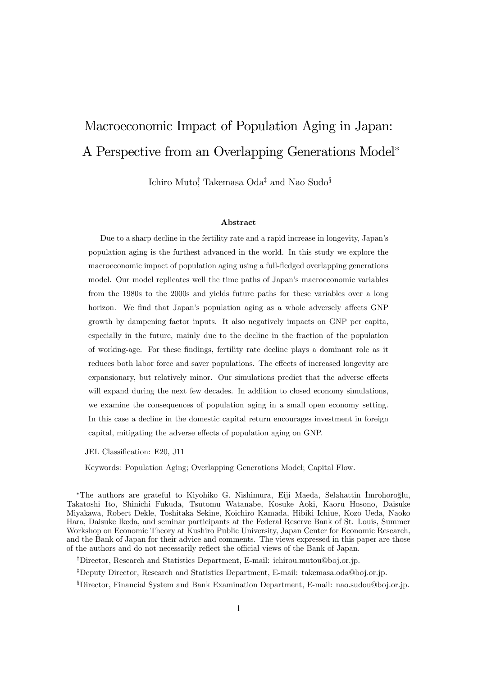# Macroeconomic Impact of Population Aging in Japan: A Perspective from an Overlapping Generations Model

Ichiro Muto<sup>†</sup>, Takemasa Oda<sup>‡</sup> and Nao Sudo<sup>§</sup>

#### Abstract

Due to a sharp decline in the fertility rate and a rapid increase in longevity, Japanís population aging is the furthest advanced in the world. In this study we explore the macroeconomic impact of population aging using a full-fledged overlapping generations model. Our model replicates well the time paths of Japanís macroeconomic variables from the 1980s to the 2000s and yields future paths for these variables over a long horizon. We find that Japan's population aging as a whole adversely affects GNP growth by dampening factor inputs. It also negatively impacts on GNP per capita, especially in the future, mainly due to the decline in the fraction of the population of working-age. For these Öndings, fertility rate decline plays a dominant role as it reduces both labor force and saver populations. The effects of increased longevity are expansionary, but relatively minor. Our simulations predict that the adverse effects will expand during the next few decades. In addition to closed economy simulations, we examine the consequences of population aging in a small open economy setting. In this case a decline in the domestic capital return encourages investment in foreign capital, mitigating the adverse effects of population aging on GNP.

JEL Classification: E20, J11

Keywords: Population Aging; Overlapping Generations Model; Capital Flow.

<sup>\*</sup>The authors are grateful to Kiyohiko G. Nishimura, Eiji Maeda, Selahattin Imrohoroğlu, Takatoshi Ito, Shinichi Fukuda, Tsutomu Watanabe, Kosuke Aoki, Kaoru Hosono, Daisuke Miyakawa, Robert Dekle, Toshitaka Sekine, Koichiro Kamada, Hibiki Ichiue, Kozo Ueda, Naoko Hara, Daisuke Ikeda, and seminar participants at the Federal Reserve Bank of St. Louis, Summer Workshop on Economic Theory at Kushiro Public University, Japan Center for Economic Research, and the Bank of Japan for their advice and comments. The views expressed in this paper are those of the authors and do not necessarily reflect the official views of the Bank of Japan.

<sup>&</sup>lt;sup>†</sup>Director, Research and Statistics Department, E-mail: ichirou.mutou@boj.or.jp.

<sup>&</sup>lt;sup>‡</sup>Deputy Director, Research and Statistics Department, E-mail: takemasa.oda@boj.or.jp.

<sup>x</sup>Director, Financial System and Bank Examination Department, E-mail: nao.sudou@boj.or.jp.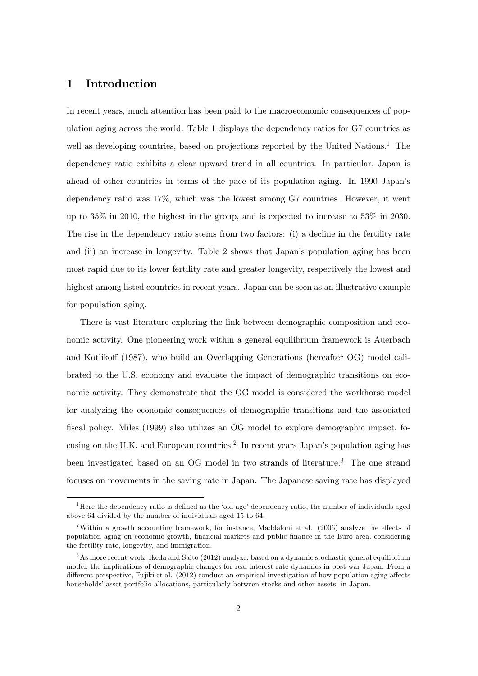# 1 Introduction

In recent years, much attention has been paid to the macroeconomic consequences of population aging across the world. Table 1 displays the dependency ratios for G7 countries as well as developing countries, based on projections reported by the United Nations.<sup>1</sup> The dependency ratio exhibits a clear upward trend in all countries. In particular, Japan is ahead of other countries in terms of the pace of its population aging. In 1990 Japanís dependency ratio was 17%, which was the lowest among G7 countries. However, it went up to 35% in 2010, the highest in the group, and is expected to increase to 53% in 2030. The rise in the dependency ratio stems from two factors: (i) a decline in the fertility rate and (ii) an increase in longevity. Table 2 shows that Japan's population aging has been most rapid due to its lower fertility rate and greater longevity, respectively the lowest and highest among listed countries in recent years. Japan can be seen as an illustrative example for population aging.

There is vast literature exploring the link between demographic composition and economic activity. One pioneering work within a general equilibrium framework is Auerbach and Kotlikoff (1987), who build an Overlapping Generations (hereafter OG) model calibrated to the U.S. economy and evaluate the impact of demographic transitions on economic activity. They demonstrate that the OG model is considered the workhorse model for analyzing the economic consequences of demographic transitions and the associated fiscal policy. Miles (1999) also utilizes an OG model to explore demographic impact, focusing on the U.K. and European countries.<sup>2</sup> In recent years Japan's population aging has been investigated based on an OG model in two strands of literature.<sup>3</sup> The one strand focuses on movements in the saving rate in Japan. The Japanese saving rate has displayed

<sup>&</sup>lt;sup>1</sup>Here the dependency ratio is defined as the 'old-age' dependency ratio, the number of individuals aged above 64 divided by the number of individuals aged 15 to 64.

<sup>&</sup>lt;sup>2</sup>Within a growth accounting framework, for instance, Maddaloni et al.  $(2006)$  analyze the effects of population aging on economic growth, financial markets and public finance in the Euro area, considering the fertility rate, longevity, and immigration.

<sup>3</sup>As more recent work, Ikeda and Saito (2012) analyze, based on a dynamic stochastic general equilibrium model, the implications of demographic changes for real interest rate dynamics in post-war Japan. From a different perspective, Fujiki et al. (2012) conduct an empirical investigation of how population aging affects householdsí asset portfolio allocations, particularly between stocks and other assets, in Japan.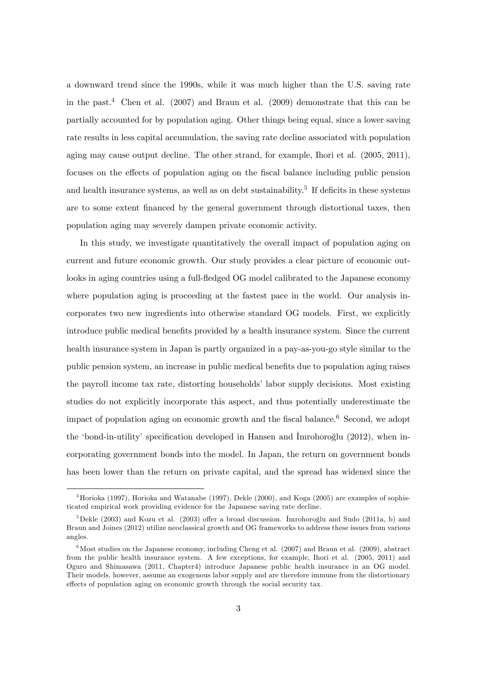a downward trend since the 1990s, while it was much higher than the U.S. saving rate in the past.<sup>4</sup> Chen et al.  $(2007)$  and Braun et al.  $(2009)$  demonstrate that this can be partially accounted for by population aging. Other things being equal, since a lower saving rate results in less capital accumulation, the saving rate decline associated with population aging may cause output decline. The other strand, for example, Ihori et al. (2005, 2011), focuses on the effects of population aging on the fiscal balance including public pension and health insurance systems, as well as on debt sustainability.<sup>5</sup> If deficits in these systems are to some extent Önanced by the general government through distortional taxes, then population aging may severely dampen private economic activity.

In this study, we investigate quantitatively the overall impact of population aging on current and future economic growth. Our study provides a clear picture of economic outlooks in aging countries using a full-fledged OG model calibrated to the Japanese economy where population aging is proceeding at the fastest pace in the world. Our analysis incorporates two new ingredients into otherwise standard OG models. First, we explicitly introduce public medical benefits provided by a health insurance system. Since the current health insurance system in Japan is partly organized in a pay-as-you-go style similar to the public pension system, an increase in public medical benefits due to population aging raises the payroll income tax rate, distorting households' labor supply decisions. Most existing studies do not explicitly incorporate this aspect, and thus potentially underestimate the impact of population aging on economic growth and the fiscal balance.<sup>6</sup> Second, we adopt the 'bond-in-utility' specification developed in Hansen and Imrohoro  $\check{gl}u$  (2012), when incorporating government bonds into the model. In Japan, the return on government bonds has been lower than the return on private capital, and the spread has widened since the

<sup>&</sup>lt;sup>4</sup>Horioka (1997), Horioka and Watanabe (1997), Dekle (2000), and Koga (2005) are examples of sophisticated empirical work providing evidence for the Japanese saving rate decline.

 ${}^{5}$ Dekle (2003) and Kozu et al. (2003) offer a broad discussion. Imrohoroğlu and Sudo (2011a, b) and Braun and Joines (2012) utilize neoclassical growth and OG frameworks to address these issues from various angles.

 $6$ Most studies on the Japanese economy, including Cheng et al. (2007) and Braun et al. (2009), abstract from the public health insurance system. A few exceptions, for example, Ihori et al. (2005, 2011) and Oguro and Shimasawa (2011, Chapter4) introduce Japanese public health insurance in an OG model. Their models, however, assume an exogenous labor supply and are therefore immune from the distortionary effects of population aging on economic growth through the social security tax.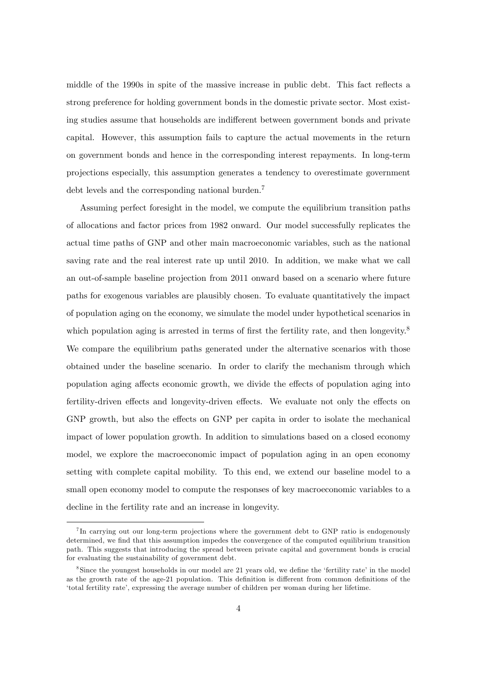middle of the 1990s in spite of the massive increase in public debt. This fact reflects a strong preference for holding government bonds in the domestic private sector. Most existing studies assume that households are indifferent between government bonds and private capital. However, this assumption fails to capture the actual movements in the return on government bonds and hence in the corresponding interest repayments. In long-term projections especially, this assumption generates a tendency to overestimate government debt levels and the corresponding national burden.<sup>7</sup>

Assuming perfect foresight in the model, we compute the equilibrium transition paths of allocations and factor prices from 1982 onward. Our model successfully replicates the actual time paths of GNP and other main macroeconomic variables, such as the national saving rate and the real interest rate up until 2010. In addition, we make what we call an out-of-sample baseline projection from 2011 onward based on a scenario where future paths for exogenous variables are plausibly chosen. To evaluate quantitatively the impact of population aging on the economy, we simulate the model under hypothetical scenarios in which population aging is arrested in terms of first the fertility rate, and then longevity.<sup>8</sup> We compare the equilibrium paths generated under the alternative scenarios with those obtained under the baseline scenario. In order to clarify the mechanism through which population aging affects economic growth, we divide the effects of population aging into fertility-driven effects and longevity-driven effects. We evaluate not only the effects on GNP growth, but also the effects on GNP per capita in order to isolate the mechanical impact of lower population growth. In addition to simulations based on a closed economy model, we explore the macroeconomic impact of population aging in an open economy setting with complete capital mobility. To this end, we extend our baseline model to a small open economy model to compute the responses of key macroeconomic variables to a decline in the fertility rate and an increase in longevity.

<sup>&</sup>lt;sup>7</sup>In carrying out our long-term projections where the government debt to GNP ratio is endogenously determined, we find that this assumption impedes the convergence of the computed equilibrium transition path. This suggests that introducing the spread between private capital and government bonds is crucial for evaluating the sustainability of government debt.

<sup>&</sup>lt;sup>8</sup>Since the youngest households in our model are 21 years old, we define the 'fertility rate' in the model as the growth rate of the age-21 population. This definition is different from common definitions of the ëtotal fertility rateí, expressing the average number of children per woman during her lifetime.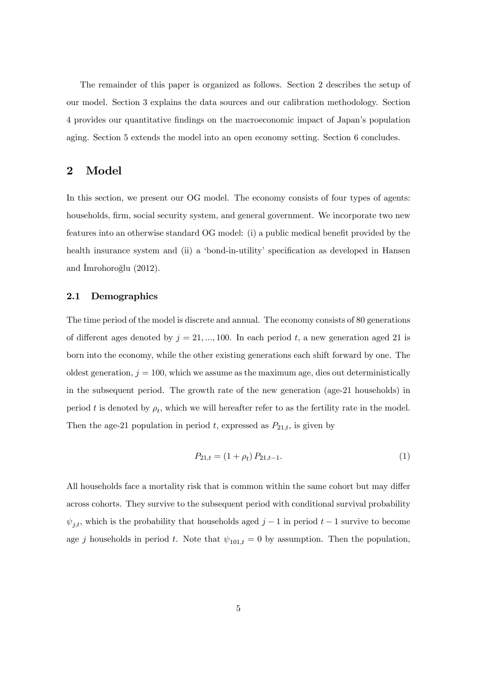The remainder of this paper is organized as follows. Section 2 describes the setup of our model. Section 3 explains the data sources and our calibration methodology. Section 4 provides our quantitative Öndings on the macroeconomic impact of Japanís population aging. Section 5 extends the model into an open economy setting. Section 6 concludes.

# 2 Model

In this section, we present our OG model. The economy consists of four types of agents: households, firm, social security system, and general government. We incorporate two new features into an otherwise standard OG model: (i) a public medical benefit provided by the health insurance system and (ii) a 'bond-in-utility' specification as developed in Hansen and  $\lim$ rohoroglu  $(2012)$ .

#### 2.1 Demographics

The time period of the model is discrete and annual. The economy consists of 80 generations of different ages denoted by  $j = 21, ..., 100$ . In each period t, a new generation aged 21 is born into the economy, while the other existing generations each shift forward by one. The oldest generation,  $j = 100$ , which we assume as the maximum age, dies out deterministically in the subsequent period. The growth rate of the new generation (age-21 households) in period t is denoted by  $\rho_t$ , which we will hereafter refer to as the fertility rate in the model. Then the age-21 population in period t, expressed as  $P_{21,t}$ , is given by

$$
P_{21,t} = (1 + \rho_t) P_{21,t-1}.
$$
\n<sup>(1)</sup>

All households face a mortality risk that is common within the same cohort but may differ across cohorts. They survive to the subsequent period with conditional survival probability  $\psi_{j,t}$ , which is the probability that households aged  $j-1$  in period  $t-1$  survive to become age j households in period t. Note that  $\psi_{101,t} = 0$  by assumption. Then the population,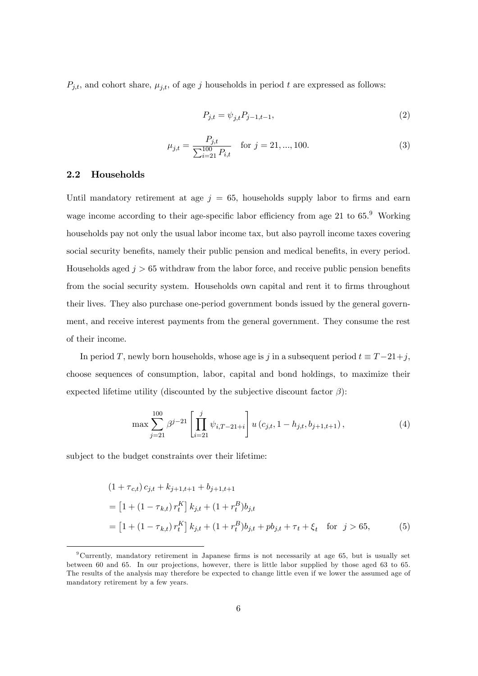$P_{j,t}$ , and cohort share,  $\mu_{j,t}$ , of age j households in period t are expressed as follows:

$$
P_{j,t} = \psi_{j,t} P_{j-1,t-1},
$$
\n(2)

$$
\mu_{j,t} = \frac{P_{j,t}}{\sum_{i=21}^{100} P_{i,t}} \quad \text{for } j = 21, ..., 100.
$$
\n(3)

#### 2.2 Households

Until mandatory retirement at age  $j = 65$ , households supply labor to firms and earn wage income according to their age-specific labor efficiency from age 21 to  $65.<sup>9</sup>$  Working households pay not only the usual labor income tax, but also payroll income taxes covering social security benefits, namely their public pension and medical benefits, in every period. Households aged  $j > 65$  withdraw from the labor force, and receive public pension benefits from the social security system. Households own capital and rent it to firms throughout their lives. They also purchase one-period government bonds issued by the general government, and receive interest payments from the general government. They consume the rest of their income.

In period T, newly born households, whose age is j in a subsequent period  $t \equiv T - 21 + j$ , choose sequences of consumption, labor, capital and bond holdings, to maximize their expected lifetime utility (discounted by the subjective discount factor  $\beta$ ):

$$
\max \sum_{j=21}^{100} \beta^{j-21} \left[ \prod_{i=21}^{j} \psi_{i,T-21+i} \right] u(c_{j,t}, 1-h_{j,t}, b_{j+1,t+1}), \tag{4}
$$

subject to the budget constraints over their lifetime:

$$
(1 + \tau_{c,t}) c_{j,t} + k_{j+1,t+1} + b_{j+1,t+1}
$$
  
=  $[1 + (1 - \tau_{k,t}) r_t^K] k_{j,t} + (1 + r_t^B) b_{j,t}$   
=  $[1 + (1 - \tau_{k,t}) r_t^K] k_{j,t} + (1 + r_t^B) b_{j,t} + pb_{j,t} + \tau_t + \xi_t$  for  $j > 65$ , (5)

 ${}^{9}$ Currently, mandatory retirement in Japanese firms is not necessarily at age 65, but is usually set between 60 and 65. In our projections, however, there is little labor supplied by those aged 63 to 65. The results of the analysis may therefore be expected to change little even if we lower the assumed age of mandatory retirement by a few years.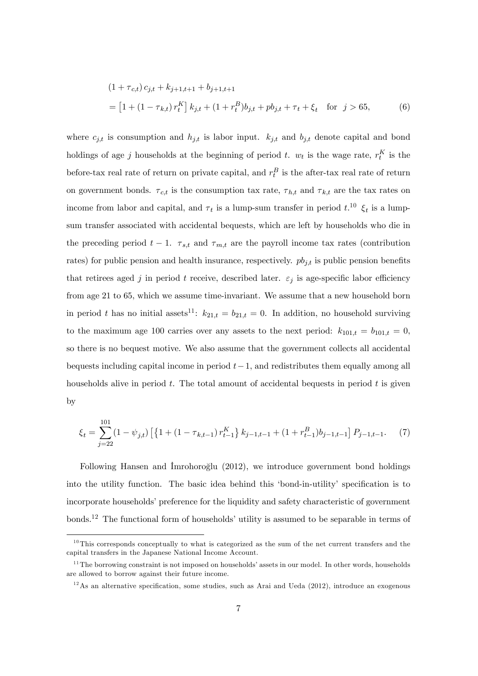$$
(1 + \tau_{c,t}) c_{j,t} + k_{j+1,t+1} + b_{j+1,t+1}
$$
  
=  $[1 + (1 - \tau_{k,t}) r_t^K] k_{j,t} + (1 + r_t^B) b_{j,t} + pb_{j,t} + \tau_t + \xi_t$  for  $j > 65$ , (6)

where  $c_{j,t}$  is consumption and  $h_{j,t}$  is labor input.  $k_{j,t}$  and  $b_{j,t}$  denote capital and bond holdings of age j households at the beginning of period t.  $w_t$  is the wage rate,  $r_t^K$  is the before-tax real rate of return on private capital, and  $r_t^B$  is the after-tax real rate of return on government bonds.  $\tau_{c,t}$  is the consumption tax rate,  $\tau_{h,t}$  and  $\tau_{k,t}$  are the tax rates on income from labor and capital, and  $\tau_t$  is a lump-sum transfer in period  $t^{10}$ ,  $\xi_t$  is a lumpsum transfer associated with accidental bequests, which are left by households who die in the preceding period  $t - 1$ .  $\tau_{s,t}$  and  $\tau_{m,t}$  are the payroll income tax rates (contribution rates) for public pension and health insurance, respectively.  $pb_{j,t}$  is public pension benefits that retirees aged j in period t receive, described later.  $\varepsilon_j$  is age-specific labor efficiency from age 21 to 65, which we assume time-invariant. We assume that a new household born in period t has no initial assets<sup>11</sup>:  $k_{21,t} = b_{21,t} = 0$ . In addition, no household surviving to the maximum age 100 carries over any assets to the next period:  $k_{101,t} = b_{101,t} = 0$ , so there is no bequest motive. We also assume that the government collects all accidental bequests including capital income in period  $t-1$ , and redistributes them equally among all households alive in period  $t$ . The total amount of accidental bequests in period  $t$  is given by

$$
\xi_t = \sum_{j=22}^{101} (1 - \psi_{j,t}) \left[ \left\{ 1 + (1 - \tau_{k,t-1}) \, r_{t-1}^K \right\} k_{j-1,t-1} + (1 + r_{t-1}^B) b_{j-1,t-1} \right] P_{j-1,t-1}.
$$
 (7)

Following Hansen and Imrohoroğlu (2012), we introduce government bond holdings into the utility function. The basic idea behind this 'bond-in-utility' specification is to incorporate households' preference for the liquidity and safety characteristic of government bonds.<sup>12</sup> The functional form of households' utility is assumed to be separable in terms of

 $10$ This corresponds conceptually to what is categorized as the sum of the net current transfers and the capital transfers in the Japanese National Income Account.

 $11$ The borrowing constraint is not imposed on households' assets in our model. In other words, households are allowed to borrow against their future income.

 $12$ As an alternative specification, some studies, such as Arai and Ueda (2012), introduce an exogenous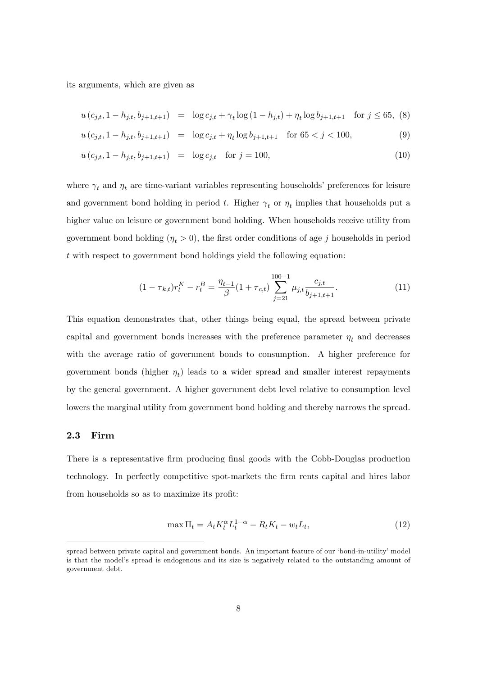its arguments, which are given as

$$
u(c_{j,t}, 1 - h_{j,t}, b_{j+1,t+1}) = \log c_{j,t} + \gamma_t \log (1 - h_{j,t}) + \eta_t \log b_{j+1,t+1} \quad \text{for } j \le 65, (8)
$$

$$
u(c_{j,t}, 1 - h_{j,t}, b_{j+1,t+1}) = \log c_{j,t} + \eta_t \log b_{j+1,t+1} \quad \text{for } 65 < j < 100,
$$
 (9)

$$
u(c_{j,t}, 1 - h_{j,t}, b_{j+1,t+1}) = \log c_{j,t} \quad \text{for } j = 100,
$$
\n(10)

where  $\gamma_t$  and  $\eta_t$  are time-variant variables representing households' preferences for leisure and government bond holding in period t. Higher  $\gamma_t$  or  $\eta_t$  implies that households put a higher value on leisure or government bond holding. When households receive utility from government bond holding  $(\eta_t > 0)$ , the first order conditions of age j households in period t with respect to government bond holdings yield the following equation:

$$
(1 - \tau_{k,t})r_t^K - r_t^B = \frac{\eta_{t-1}}{\beta}(1 + \tau_{c,t}) \sum_{j=21}^{100-1} \mu_{j,t} \frac{c_{j,t}}{b_{j+1,t+1}}.
$$
(11)

This equation demonstrates that, other things being equal, the spread between private capital and government bonds increases with the preference parameter  $\eta_t$  and decreases with the average ratio of government bonds to consumption. A higher preference for government bonds (higher  $\eta_t$ ) leads to a wider spread and smaller interest repayments by the general government. A higher government debt level relative to consumption level lowers the marginal utility from government bond holding and thereby narrows the spread.

#### 2.3 Firm

There is a representative firm producing final goods with the Cobb-Douglas production technology. In perfectly competitive spot-markets the Örm rents capital and hires labor from households so as to maximize its profit:

$$
\max \Pi_t = A_t K_t^{\alpha} L_t^{1-\alpha} - R_t K_t - w_t L_t,\tag{12}
$$

spread between private capital and government bonds. An important feature of our ëbond-in-utilityí model is that the model's spread is endogenous and its size is negatively related to the outstanding amount of government debt.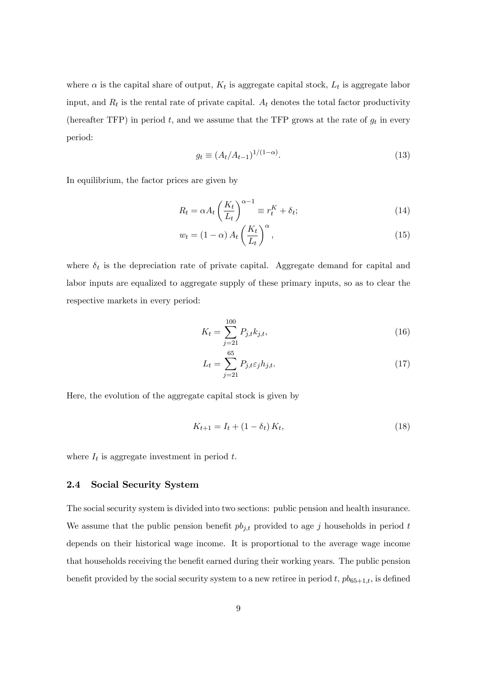where  $\alpha$  is the capital share of output,  $K_t$  is aggregate capital stock,  $L_t$  is aggregate labor input, and  $R_t$  is the rental rate of private capital.  $A_t$  denotes the total factor productivity (hereafter TFP) in period t, and we assume that the TFP grows at the rate of  $g_t$  in every period:

$$
g_t \equiv (A_t/A_{t-1})^{1/(1-\alpha)}.
$$
\n(13)

In equilibrium, the factor prices are given by

$$
R_t = \alpha A_t \left(\frac{K_t}{L_t}\right)^{\alpha - 1} \equiv r_t^K + \delta_t; \tag{14}
$$

$$
w_t = (1 - \alpha) A_t \left(\frac{K_t}{L_t}\right)^{\alpha},\tag{15}
$$

where  $\delta_t$  is the depreciation rate of private capital. Aggregate demand for capital and labor inputs are equalized to aggregate supply of these primary inputs, so as to clear the respective markets in every period:

$$
K_t = \sum_{j=21}^{100} P_{j,t} k_{j,t},
$$
\n(16)

$$
L_t = \sum_{j=21}^{65} P_{j,t} \varepsilon_j h_{j,t}.
$$
 (17)

Here, the evolution of the aggregate capital stock is given by

$$
K_{t+1} = I_t + (1 - \delta_t) K_t,
$$
\n(18)

where  $I_t$  is aggregate investment in period t.

#### 2.4 Social Security System

The social security system is divided into two sections: public pension and health insurance. We assume that the public pension benefit  $pb_{j,t}$  provided to age j households in period t depends on their historical wage income. It is proportional to the average wage income that households receiving the benefit earned during their working years. The public pension benefit provided by the social security system to a new retiree in period t,  $pb_{65+1,t}$ , is defined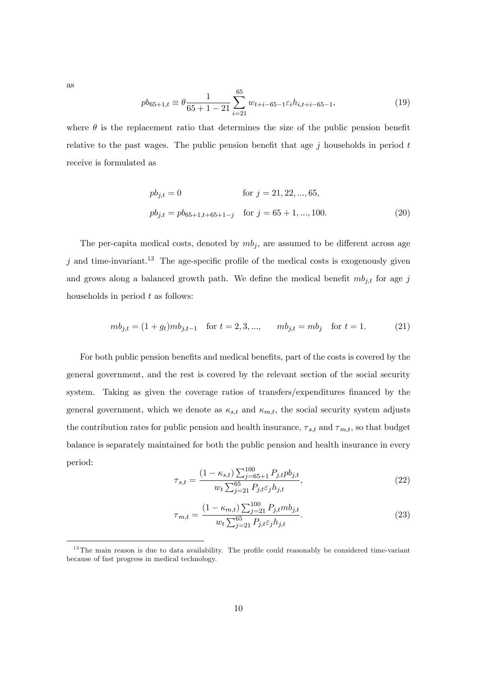as

$$
pb_{65+1,t} \equiv \theta \frac{1}{65+1-21} \sum_{i=21}^{65} w_{t+i-65-1} \varepsilon_i h_{i,t+i-65-1},
$$
\n(19)

where  $\theta$  is the replacement ratio that determines the size of the public pension benefit relative to the past wages. The public pension benefit that age  $j$  households in period  $t$ receive is formulated as

$$
pb_{j,t} = 0
$$
 for  $j = 21, 22, ..., 65$ ,  

$$
pb_{j,t} = pb_{65+1,t+65+1-j}
$$
 for  $j = 65 + 1, ..., 100$ . (20)

The per-capita medical costs, denoted by  $mb<sub>j</sub>$ , are assumed to be different across age  $j$  and time-invariant.<sup>13</sup> The age-specific profile of the medical costs is exogenously given and grows along a balanced growth path. We define the medical benefit  $mb_{j,t}$  for age j households in period  $t$  as follows:

$$
mb_{j,t} = (1+g_t)mb_{j,t-1} \text{ for } t = 2, 3, ..., \qquad mb_{j,t} = mb_j \text{ for } t = 1.
$$
 (21)

For both public pension benefits and medical benefits, part of the costs is covered by the general government, and the rest is covered by the relevant section of the social security system. Taking as given the coverage ratios of transfers/expenditures financed by the general government, which we denote as  $\kappa_{s,t}$  and  $\kappa_{m,t}$ , the social security system adjusts the contribution rates for public pension and health insurance,  $\tau_{s,t}$  and  $\tau_{m,t}$ , so that budget balance is separately maintained for both the public pension and health insurance in every period:

$$
\tau_{s,t} = \frac{(1 - \kappa_{s,t}) \sum_{j=65+1}^{100} P_{j,t} p_{j,t}}{w_t \sum_{j=21}^{65} P_{j,t} \varepsilon_j h_{j,t}},\tag{22}
$$

$$
\tau_{m,t} = \frac{(1 - \kappa_{m,t}) \sum_{j=21}^{100} P_{j,t} m b_{j,t}}{w_t \sum_{j=21}^{65} P_{j,t} \varepsilon_j h_{j,t}}.
$$
\n(23)

 $13$ The main reason is due to data availability. The profile could reasonably be considered time-variant because of fast progress in medical technology.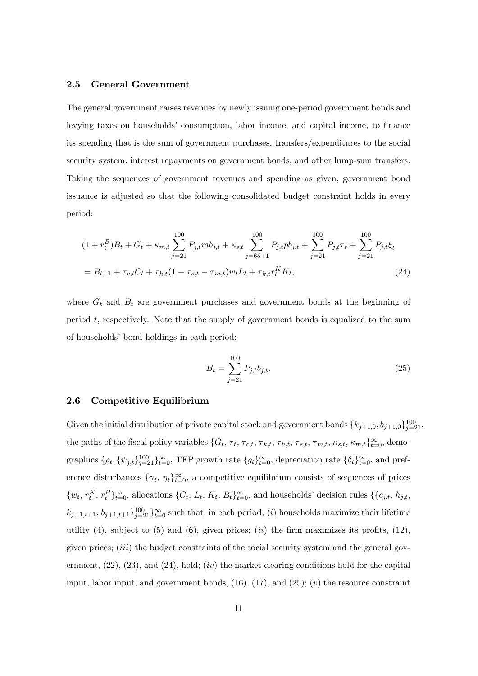#### 2.5 General Government

The general government raises revenues by newly issuing one-period government bonds and levying taxes on households' consumption, labor income, and capital income, to finance its spending that is the sum of government purchases, transfers/expenditures to the social security system, interest repayments on government bonds, and other lump-sum transfers. Taking the sequences of government revenues and spending as given, government bond issuance is adjusted so that the following consolidated budget constraint holds in every period:

$$
(1 + r_t^B)B_t + G_t + \kappa_{m,t} \sum_{j=21}^{100} P_{j,t}mb_{j,t} + \kappa_{s,t} \sum_{j=65+1}^{100} P_{j,t}pb_{j,t} + \sum_{j=21}^{100} P_{j,t}\tau_t + \sum_{j=21}^{100} P_{j,t}\xi_t
$$
  
=  $B_{t+1} + \tau_{c,t}C_t + \tau_{h,t}(1 - \tau_{s,t} - \tau_{m,t})w_t L_t + \tau_{k,t}r_t^K K_t,$  (24)

where  $G_t$  and  $B_t$  are government purchases and government bonds at the beginning of period t, respectively. Note that the supply of government bonds is equalized to the sum of households' bond holdings in each period:

$$
B_t = \sum_{j=21}^{100} P_{j,t} b_{j,t}.
$$
\n(25)

#### 2.6 Competitive Equilibrium

Given the initial distribution of private capital stock and government bonds  ${k_{j+1,0}, b_{j+1,0}}_{j=21}^{100}$ , the paths of the fiscal policy variables  $\{G_t, \tau_t, \tau_{c,t}, \tau_{k,t}, \tau_{h,t}, \tau_{s,t}, \tau_{m,t}, \kappa_{s,t}, \kappa_{m,t}\}_{t=0}^{\infty}$ , demographics  $\{\rho_t, \{\psi_{j,t}\}_{j=2l}^{100}\}_{t=0}^{\infty}$ , TFP growth rate  $\{g_t\}_{t=0}^{\infty}$ , depreciation rate  $\{\delta_t\}_{t=0}^{\infty}$ , and preference disturbances  $\{\gamma_t, \eta_t\}_{t=0}^{\infty}$ , a competitive equilibrium consists of sequences of prices  $\{w_t, r_t^K, r_t^B\}_{t=0}^{\infty}$ , allocations  $\{C_t, L_t, K_t, B_t\}_{t=0}^{\infty}$ , and households' decision rules  $\{\{c_{j,t}, h_{j,t},$  $k_{j+1,t+1}, b_{j+1,t+1}\}_{j=2}^{100}\}_{t=0}^{\infty}$  such that, in each period, (*i*) households maximize their lifetime utility (4), subject to (5) and (6), given prices; (ii) the firm maximizes its profits,  $(12)$ , given prices;  $(iii)$  the budget constraints of the social security system and the general government,  $(22)$ ,  $(23)$ , and  $(24)$ , hold;  $(iv)$  the market clearing conditions hold for the capital input, labor input, and government bonds,  $(16)$ ,  $(17)$ , and  $(25)$ ;  $(v)$  the resource constraint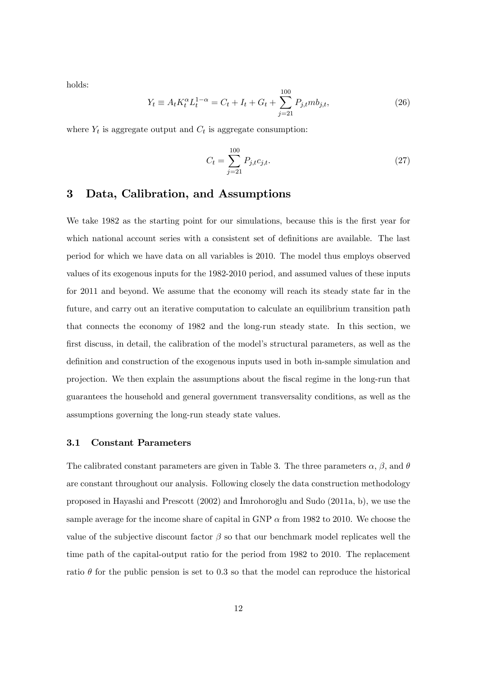holds:

$$
Y_t \equiv A_t K_t^{\alpha} L_t^{1-\alpha} = C_t + I_t + G_t + \sum_{j=21}^{100} P_{j,t} m b_{j,t},
$$
\n(26)

where  $Y_t$  is aggregate output and  $C_t$  is aggregate consumption:

$$
C_t = \sum_{j=21}^{100} P_{j,t} c_{j,t}.
$$
\n(27)

# 3 Data, Calibration, and Assumptions

We take 1982 as the starting point for our simulations, because this is the first year for which national account series with a consistent set of definitions are available. The last period for which we have data on all variables is 2010. The model thus employs observed values of its exogenous inputs for the 1982-2010 period, and assumed values of these inputs for 2011 and beyond. We assume that the economy will reach its steady state far in the future, and carry out an iterative computation to calculate an equilibrium transition path that connects the economy of 1982 and the long-run steady state. In this section, we first discuss, in detail, the calibration of the model's structural parameters, as well as the definition and construction of the exogenous inputs used in both in-sample simulation and projection. We then explain the assumptions about the Öscal regime in the long-run that guarantees the household and general government transversality conditions, as well as the assumptions governing the long-run steady state values.

#### 3.1 Constant Parameters

The calibrated constant parameters are given in Table 3. The three parameters  $\alpha$ ,  $\beta$ , and  $\theta$ are constant throughout our analysis. Following closely the data construction methodology proposed in Hayashi and Prescott  $(2002)$  and Imrohoroglu and Sudo  $(2011a, b)$ , we use the sample average for the income share of capital in GNP  $\alpha$  from 1982 to 2010. We choose the value of the subjective discount factor  $\beta$  so that our benchmark model replicates well the time path of the capital-output ratio for the period from 1982 to 2010. The replacement ratio  $\theta$  for the public pension is set to 0.3 so that the model can reproduce the historical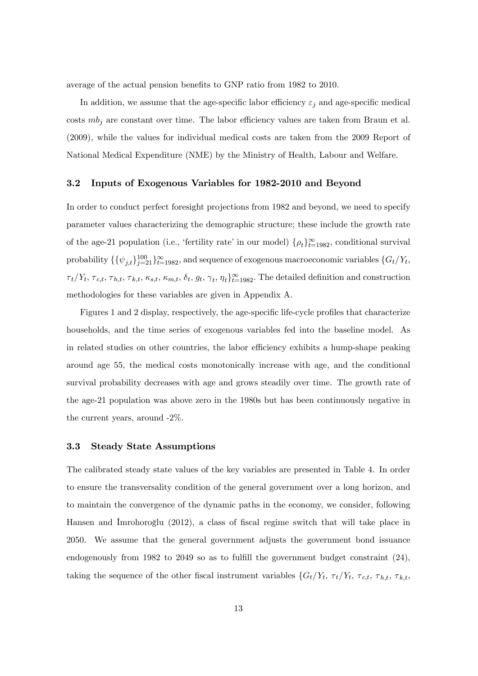average of the actual pension benefits to GNP ratio from 1982 to 2010.

In addition, we assume that the age-specific labor efficiency  $\varepsilon_j$  and age-specific medical costs  $mb_i$  are constant over time. The labor efficiency values are taken from Braun et al. (2009), while the values for individual medical costs are taken from the 2009 Report of National Medical Expenditure (NME) by the Ministry of Health, Labour and Welfare.

#### 3.2 Inputs of Exogenous Variables for 1982-2010 and Beyond

In order to conduct perfect foresight projections from 1982 and beyond, we need to specify parameter values characterizing the demographic structure; these include the growth rate of the age-21 population (i.e., 'fertility rate' in our model)  $\{\rho_t\}_{t=1982}^{\infty}$ , conditional survival probability  $\{\{\psi_{j,t}\}_{j=2}^{100}\}_{t=1982}^{\infty}$ , and sequence of exogenous macroeconomic variables  $\{G_t/Y_t,$  $\tau_t/Y_t$ ,  $\tau_{c,t}$ ,  $\tau_{h,t}$ ,  $\tau_{k,t}$ ,  $\kappa_{s,t}$ ,  $\kappa_{m,t}$ ,  $\delta_t$ ,  $g_t$ ,  $\gamma_t$ ,  $\eta_t\}_{t=1982}^{\infty}$ . The detailed definition and construction methodologies for these variables are given in Appendix A.

Figures 1 and 2 display, respectively, the age-specific life-cycle profiles that characterize households, and the time series of exogenous variables fed into the baseline model. As in related studies on other countries, the labor efficiency exhibits a hump-shape peaking around age 55, the medical costs monotonically increase with age, and the conditional survival probability decreases with age and grows steadily over time. The growth rate of the age-21 population was above zero in the 1980s but has been continuously negative in the current years, around -2%.

#### 3.3 Steady State Assumptions

The calibrated steady state values of the key variables are presented in Table 4. In order to ensure the transversality condition of the general government over a long horizon, and to maintain the convergence of the dynamic paths in the economy, we consider, following Hansen and Imrohoroğlu (2012), a class of fiscal regime switch that will take place in 2050. We assume that the general government adjusts the government bond issuance endogenously from 1982 to 2049 so as to fulfill the government budget constraint  $(24)$ , taking the sequence of the other fiscal instrument variables  $\{G_t/Y_t, \tau_t/Y_t, \tau_{c,t}, \tau_{h,t}, \tau_{k,t}, \tau_{h,t}, \tau_{k,t}, \tau_{h,t}, \tau_{k,t}, \tau_{h,t}, \tau_{k,t}, \tau_{h,t}, \tau_{k,t}, \tau_{h,t}, \tau_{k,t}, \tau_{h,t}, \tau_{k,t}, \tau_{h,t}, \tau_{k,t}, \tau_{h,t}, \tau_{k,t}, \tau_{h,t}, \tau_{k,t}, \tau_{h,t}, \tau_{h,t}, \tau_{h,t}, \tau$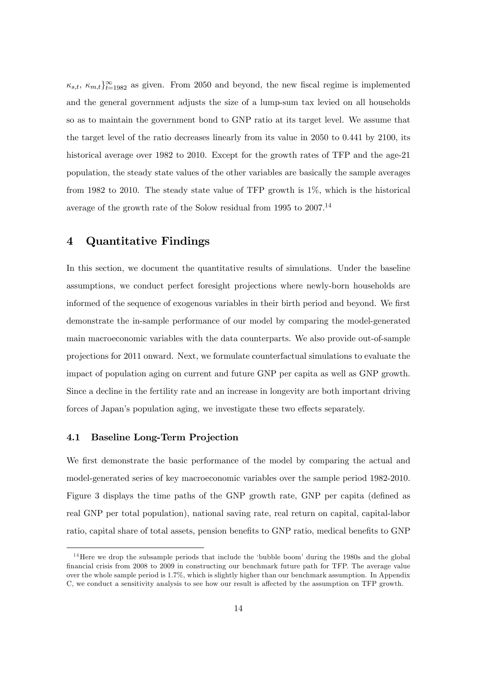$\kappa_{s,t}$ ,  $\kappa_{m,t}$ } $\kappa_{1982}$  as given. From 2050 and beyond, the new fiscal regime is implemented and the general government adjusts the size of a lump-sum tax levied on all households so as to maintain the government bond to GNP ratio at its target level. We assume that the target level of the ratio decreases linearly from its value in 2050 to 0.441 by 2100, its historical average over 1982 to 2010. Except for the growth rates of TFP and the age-21 population, the steady state values of the other variables are basically the sample averages from 1982 to 2010. The steady state value of TFP growth is 1%, which is the historical average of the growth rate of the Solow residual from 1995 to 2007.<sup>14</sup>

# 4 Quantitative Findings

In this section, we document the quantitative results of simulations. Under the baseline assumptions, we conduct perfect foresight projections where newly-born households are informed of the sequence of exogenous variables in their birth period and beyond. We first demonstrate the in-sample performance of our model by comparing the model-generated main macroeconomic variables with the data counterparts. We also provide out-of-sample projections for 2011 onward. Next, we formulate counterfactual simulations to evaluate the impact of population aging on current and future GNP per capita as well as GNP growth. Since a decline in the fertility rate and an increase in longevity are both important driving forces of Japan's population aging, we investigate these two effects separately.

#### 4.1 Baseline Long-Term Projection

We first demonstrate the basic performance of the model by comparing the actual and model-generated series of key macroeconomic variables over the sample period 1982-2010. Figure 3 displays the time paths of the GNP growth rate, GNP per capita (defined as real GNP per total population), national saving rate, real return on capital, capital-labor ratio, capital share of total assets, pension benefits to GNP ratio, medical benefits to GNP

 $14$  Here we drop the subsample periods that include the 'bubble boom' during the 1980s and the global Önancial crisis from 2008 to 2009 in constructing our benchmark future path for TFP. The average value over the whole sample period is 1.7%, which is slightly higher than our benchmark assumption. In Appendix C, we conduct a sensitivity analysis to see how our result is affected by the assumption on TFP growth.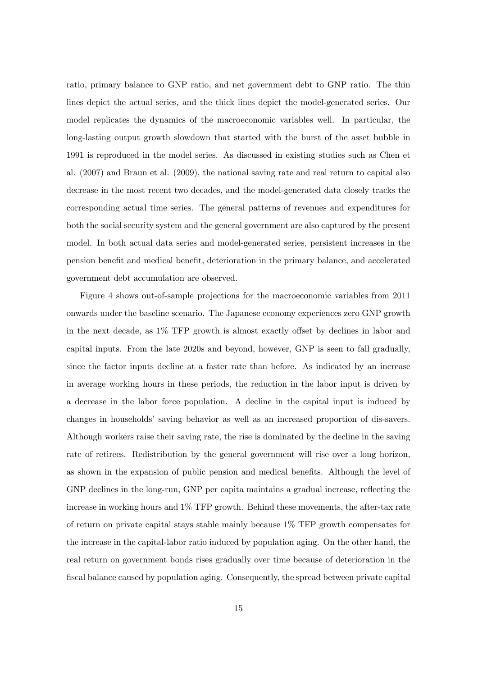ratio, primary balance to GNP ratio, and net government debt to GNP ratio. The thin lines depict the actual series, and the thick lines depict the model-generated series. Our model replicates the dynamics of the macroeconomic variables well. In particular, the long-lasting output growth slowdown that started with the burst of the asset bubble in 1991 is reproduced in the model series. As discussed in existing studies such as Chen et al. (2007) and Braun et al. (2009), the national saving rate and real return to capital also decrease in the most recent two decades, and the model-generated data closely tracks the corresponding actual time series. The general patterns of revenues and expenditures for both the social security system and the general government are also captured by the present model. In both actual data series and model-generated series, persistent increases in the pension benefit and medical benefit, deterioration in the primary balance, and accelerated government debt accumulation are observed.

Figure 4 shows out-of-sample projections for the macroeconomic variables from 2011 onwards under the baseline scenario. The Japanese economy experiences zero GNP growth in the next decade, as  $1\%$  TFP growth is almost exactly offset by declines in labor and capital inputs. From the late 2020s and beyond, however, GNP is seen to fall gradually, since the factor inputs decline at a faster rate than before. As indicated by an increase in average working hours in these periods, the reduction in the labor input is driven by a decrease in the labor force population. A decline in the capital input is induced by changes in householdsí saving behavior as well as an increased proportion of dis-savers. Although workers raise their saving rate, the rise is dominated by the decline in the saving rate of retirees. Redistribution by the general government will rise over a long horizon, as shown in the expansion of public pension and medical benefits. Although the level of GNP declines in the long-run, GNP per capita maintains a gradual increase, reflecting the increase in working hours and 1% TFP growth. Behind these movements, the after-tax rate of return on private capital stays stable mainly because 1% TFP growth compensates for the increase in the capital-labor ratio induced by population aging. On the other hand, the real return on government bonds rises gradually over time because of deterioration in the fiscal balance caused by population aging. Consequently, the spread between private capital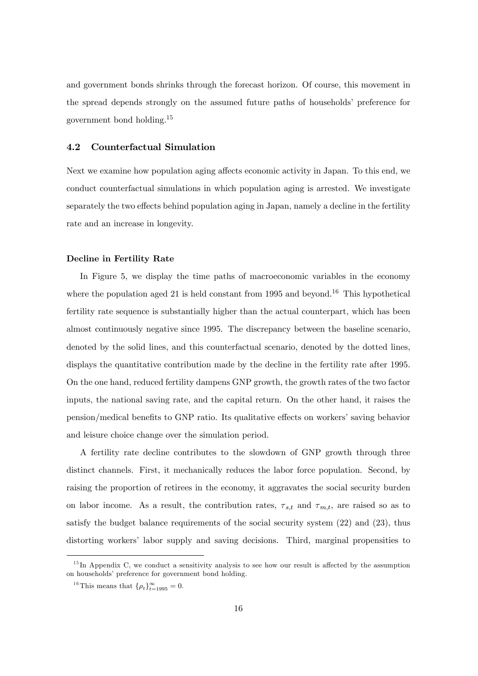and government bonds shrinks through the forecast horizon. Of course, this movement in the spread depends strongly on the assumed future paths of households' preference for government bond holding.<sup>15</sup>

#### 4.2 Counterfactual Simulation

Next we examine how population aging affects economic activity in Japan. To this end, we conduct counterfactual simulations in which population aging is arrested. We investigate separately the two effects behind population aging in Japan, namely a decline in the fertility rate and an increase in longevity.

#### Decline in Fertility Rate

In Figure 5, we display the time paths of macroeconomic variables in the economy where the population aged 21 is held constant from 1995 and beyond.<sup>16</sup> This hypothetical fertility rate sequence is substantially higher than the actual counterpart, which has been almost continuously negative since 1995. The discrepancy between the baseline scenario, denoted by the solid lines, and this counterfactual scenario, denoted by the dotted lines, displays the quantitative contribution made by the decline in the fertility rate after 1995. On the one hand, reduced fertility dampens GNP growth, the growth rates of the two factor inputs, the national saving rate, and the capital return. On the other hand, it raises the pension/medical benefits to GNP ratio. Its qualitative effects on workers' saving behavior and leisure choice change over the simulation period.

A fertility rate decline contributes to the slowdown of GNP growth through three distinct channels. First, it mechanically reduces the labor force population. Second, by raising the proportion of retirees in the economy, it aggravates the social security burden on labor income. As a result, the contribution rates,  $\tau_{s,t}$  and  $\tau_{m,t}$ , are raised so as to satisfy the budget balance requirements of the social security system (22) and (23), thus distorting workers' labor supply and saving decisions. Third, marginal propensities to

 $15$ In Appendix C, we conduct a sensitivity analysis to see how our result is affected by the assumption on households' preference for government bond holding.

<sup>&</sup>lt;sup>16</sup>This means that  $\{\rho_t\}_{t=1995}^{\infty} = 0$ .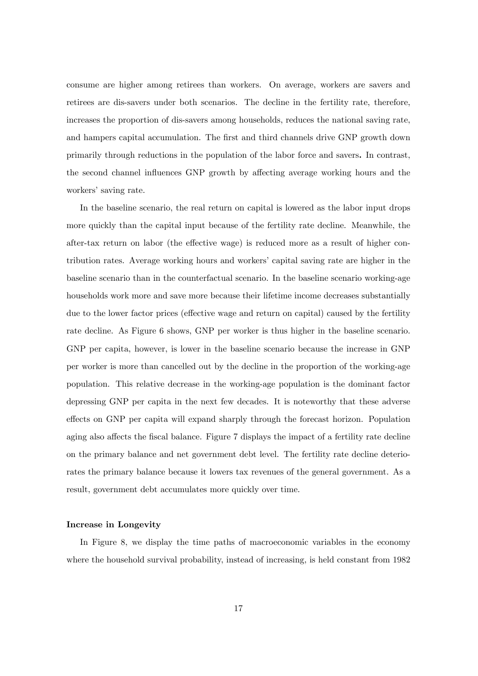consume are higher among retirees than workers. On average, workers are savers and retirees are dis-savers under both scenarios. The decline in the fertility rate, therefore, increases the proportion of dis-savers among households, reduces the national saving rate, and hampers capital accumulation. The first and third channels drive GNP growth down primarily through reductions in the population of the labor force and savers. In contrast, the second channel influences GNP growth by affecting average working hours and the workers' saving rate.

In the baseline scenario, the real return on capital is lowered as the labor input drops more quickly than the capital input because of the fertility rate decline. Meanwhile, the after-tax return on labor (the effective wage) is reduced more as a result of higher contribution rates. Average working hours and workers' capital saving rate are higher in the baseline scenario than in the counterfactual scenario. In the baseline scenario working-age households work more and save more because their lifetime income decreases substantially due to the lower factor prices (effective wage and return on capital) caused by the fertility rate decline. As Figure 6 shows, GNP per worker is thus higher in the baseline scenario. GNP per capita, however, is lower in the baseline scenario because the increase in GNP per worker is more than cancelled out by the decline in the proportion of the working-age population. This relative decrease in the working-age population is the dominant factor depressing GNP per capita in the next few decades. It is noteworthy that these adverse effects on GNP per capita will expand sharply through the forecast horizon. Population aging also affects the fiscal balance. Figure 7 displays the impact of a fertility rate decline on the primary balance and net government debt level. The fertility rate decline deteriorates the primary balance because it lowers tax revenues of the general government. As a result, government debt accumulates more quickly over time.

#### Increase in Longevity

In Figure 8, we display the time paths of macroeconomic variables in the economy where the household survival probability, instead of increasing, is held constant from 1982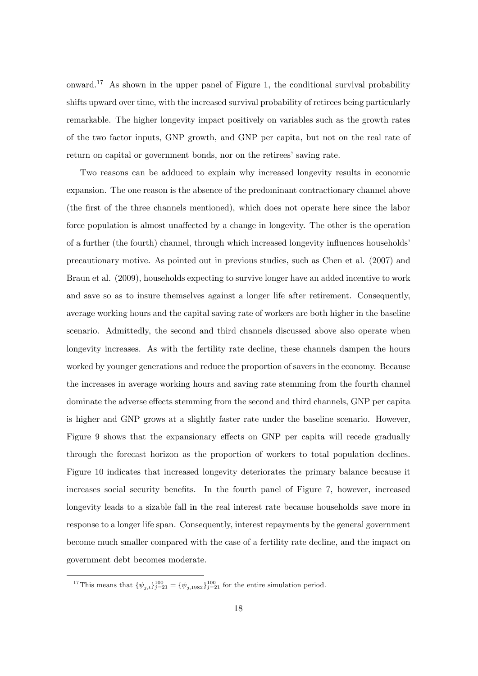onward.<sup>17</sup> As shown in the upper panel of Figure 1, the conditional survival probability shifts upward over time, with the increased survival probability of retirees being particularly remarkable. The higher longevity impact positively on variables such as the growth rates of the two factor inputs, GNP growth, and GNP per capita, but not on the real rate of return on capital or government bonds, nor on the retirees' saving rate.

Two reasons can be adduced to explain why increased longevity results in economic expansion. The one reason is the absence of the predominant contractionary channel above (the Örst of the three channels mentioned), which does not operate here since the labor force population is almost unaffected by a change in longevity. The other is the operation of a further (the fourth) channel, through which increased longevity influences households<sup>2</sup> precautionary motive. As pointed out in previous studies, such as Chen et al. (2007) and Braun et al. (2009), households expecting to survive longer have an added incentive to work and save so as to insure themselves against a longer life after retirement. Consequently, average working hours and the capital saving rate of workers are both higher in the baseline scenario. Admittedly, the second and third channels discussed above also operate when longevity increases. As with the fertility rate decline, these channels dampen the hours worked by younger generations and reduce the proportion of savers in the economy. Because the increases in average working hours and saving rate stemming from the fourth channel dominate the adverse effects stemming from the second and third channels, GNP per capita is higher and GNP grows at a slightly faster rate under the baseline scenario. However, Figure 9 shows that the expansionary effects on GNP per capita will recede gradually through the forecast horizon as the proportion of workers to total population declines. Figure 10 indicates that increased longevity deteriorates the primary balance because it increases social security benefits. In the fourth panel of Figure 7, however, increased longevity leads to a sizable fall in the real interest rate because households save more in response to a longer life span. Consequently, interest repayments by the general government become much smaller compared with the case of a fertility rate decline, and the impact on government debt becomes moderate.

<sup>&</sup>lt;sup>17</sup>This means that  $\{\psi_{j,t}\}_{j=21}^{100} = \{\psi_{j,1982}\}_{j=21}^{100}$  for the entire simulation period.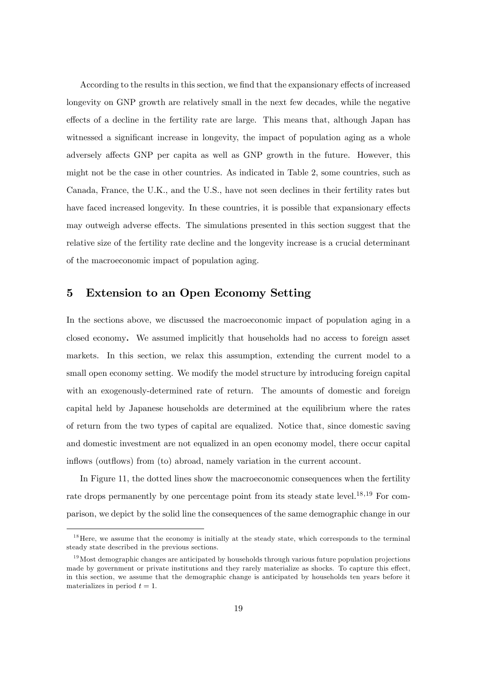According to the results in this section, we find that the expansionary effects of increased longevity on GNP growth are relatively small in the next few decades, while the negative effects of a decline in the fertility rate are large. This means that, although Japan has witnessed a significant increase in longevity, the impact of population aging as a whole adversely affects GNP per capita as well as GNP growth in the future. However, this might not be the case in other countries. As indicated in Table 2, some countries, such as Canada, France, the U.K., and the U.S., have not seen declines in their fertility rates but have faced increased longevity. In these countries, it is possible that expansionary effects may outweigh adverse effects. The simulations presented in this section suggest that the relative size of the fertility rate decline and the longevity increase is a crucial determinant of the macroeconomic impact of population aging.

#### 5 Extension to an Open Economy Setting

In the sections above, we discussed the macroeconomic impact of population aging in a closed economy. We assumed implicitly that households had no access to foreign asset markets. In this section, we relax this assumption, extending the current model to a small open economy setting. We modify the model structure by introducing foreign capital with an exogenously-determined rate of return. The amounts of domestic and foreign capital held by Japanese households are determined at the equilibrium where the rates of return from the two types of capital are equalized. Notice that, since domestic saving and domestic investment are not equalized in an open economy model, there occur capital inflows (outflows) from (to) abroad, namely variation in the current account.

In Figure 11, the dotted lines show the macroeconomic consequences when the fertility rate drops permanently by one percentage point from its steady state level.<sup>18,19</sup> For comparison, we depict by the solid line the consequences of the same demographic change in our

 $1<sup>8</sup>$  Here, we assume that the economy is initially at the steady state, which corresponds to the terminal steady state described in the previous sections.

 $19$ Most demographic changes are anticipated by households through various future population projections made by government or private institutions and they rarely materialize as shocks. To capture this effect, in this section, we assume that the demographic change is anticipated by households ten years before it materializes in period  $t = 1$ .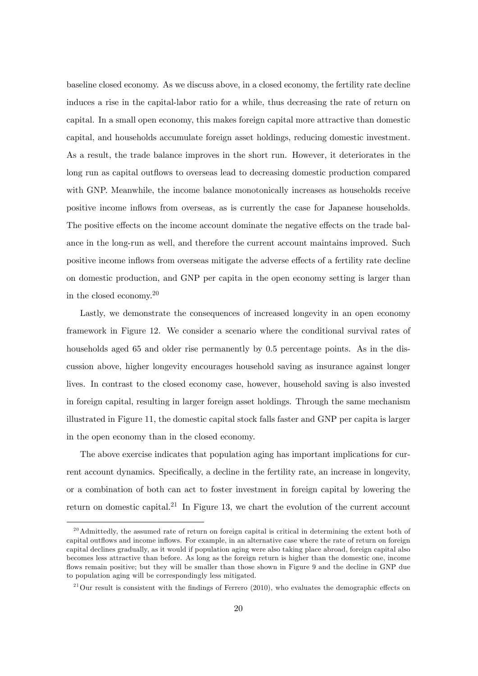baseline closed economy. As we discuss above, in a closed economy, the fertility rate decline induces a rise in the capital-labor ratio for a while, thus decreasing the rate of return on capital. In a small open economy, this makes foreign capital more attractive than domestic capital, and households accumulate foreign asset holdings, reducing domestic investment. As a result, the trade balance improves in the short run. However, it deteriorates in the long run as capital outflows to overseas lead to decreasing domestic production compared with GNP. Meanwhile, the income balance monotonically increases as households receive positive income ináows from overseas, as is currently the case for Japanese households. The positive effects on the income account dominate the negative effects on the trade balance in the long-run as well, and therefore the current account maintains improved. Such positive income inflows from overseas mitigate the adverse effects of a fertility rate decline on domestic production, and GNP per capita in the open economy setting is larger than in the closed economy.<sup>20</sup>

Lastly, we demonstrate the consequences of increased longevity in an open economy framework in Figure 12. We consider a scenario where the conditional survival rates of households aged 65 and older rise permanently by 0.5 percentage points. As in the discussion above, higher longevity encourages household saving as insurance against longer lives. In contrast to the closed economy case, however, household saving is also invested in foreign capital, resulting in larger foreign asset holdings. Through the same mechanism illustrated in Figure 11, the domestic capital stock falls faster and GNP per capita is larger in the open economy than in the closed economy.

The above exercise indicates that population aging has important implications for current account dynamics. Specifically, a decline in the fertility rate, an increase in longevity, or a combination of both can act to foster investment in foreign capital by lowering the return on domestic capital.<sup>21</sup> In Figure 13, we chart the evolution of the current account

 $20$ Admittedly, the assumed rate of return on foreign capital is critical in determining the extent both of capital outflows and income inflows. For example, in an alternative case where the rate of return on foreign capital declines gradually, as it would if population aging were also taking place abroad, foreign capital also becomes less attractive than before. As long as the foreign return is higher than the domestic one, income flows remain positive; but they will be smaller than those shown in Figure 9 and the decline in GNP due to population aging will be correspondingly less mitigated.

 $^{21}$ Our result is consistent with the findings of Ferrero (2010), who evaluates the demographic effects on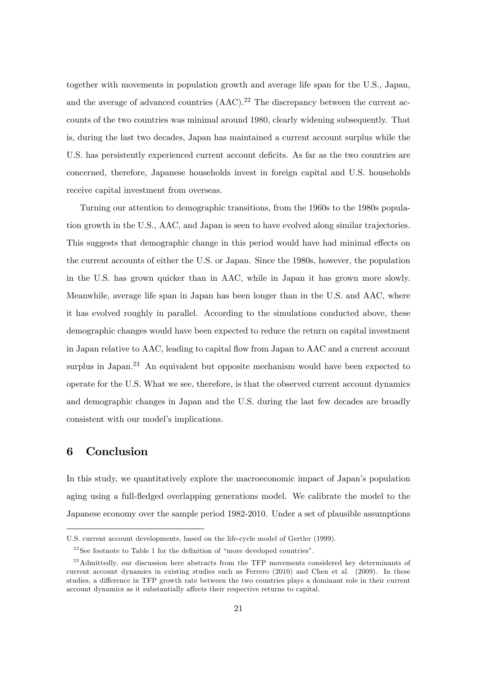together with movements in population growth and average life span for the U.S., Japan, and the average of advanced countries  $(ABC)$ .<sup>22</sup> The discrepancy between the current accounts of the two countries was minimal around 1980, clearly widening subsequently. That is, during the last two decades, Japan has maintained a current account surplus while the U.S. has persistently experienced current account deficits. As far as the two countries are concerned, therefore, Japanese households invest in foreign capital and U.S. households receive capital investment from overseas.

Turning our attention to demographic transitions, from the 1960s to the 1980s population growth in the U.S., AAC, and Japan is seen to have evolved along similar trajectories. This suggests that demographic change in this period would have had minimal effects on the current accounts of either the U.S. or Japan. Since the 1980s, however, the population in the U.S. has grown quicker than in AAC, while in Japan it has grown more slowly. Meanwhile, average life span in Japan has been longer than in the U.S. and AAC, where it has evolved roughly in parallel. According to the simulations conducted above, these demographic changes would have been expected to reduce the return on capital investment in Japan relative to AAC, leading to capital flow from Japan to AAC and a current account surplus in Japan.<sup>23</sup> An equivalent but opposite mechanism would have been expected to operate for the U.S. What we see, therefore, is that the observed current account dynamics and demographic changes in Japan and the U.S. during the last few decades are broadly consistent with our model's implications.

# 6 Conclusion

In this study, we quantitatively explore the macroeconomic impact of Japan's population aging using a full-fledged overlapping generations model. We calibrate the model to the Japanese economy over the sample period 1982-2010. Under a set of plausible assumptions

U.S. current account developments, based on the life-cycle model of Gertler (1999).

 $^{22}$ See footnote to Table 1 for the definition of "more developed countries".

<sup>&</sup>lt;sup>23</sup> Admittedly, our discussion here abstracts from the TFP movements considered key determinants of current account dynamics in existing studies such as Ferrero (2010) and Chen et al. (2009). In these studies, a difference in TFP growth rate between the two countries plays a dominant role in their current account dynamics as it substantially affects their respective returns to capital.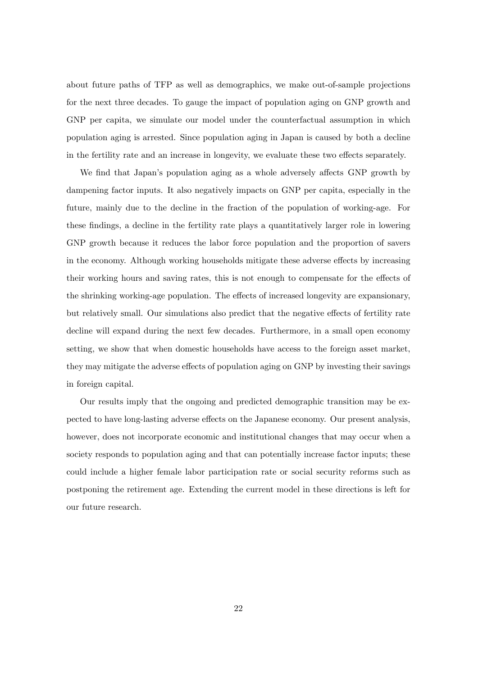about future paths of TFP as well as demographics, we make out-of-sample projections for the next three decades. To gauge the impact of population aging on GNP growth and GNP per capita, we simulate our model under the counterfactual assumption in which population aging is arrested. Since population aging in Japan is caused by both a decline in the fertility rate and an increase in longevity, we evaluate these two effects separately.

We find that Japan's population aging as a whole adversely affects GNP growth by dampening factor inputs. It also negatively impacts on GNP per capita, especially in the future, mainly due to the decline in the fraction of the population of working-age. For these findings, a decline in the fertility rate plays a quantitatively larger role in lowering GNP growth because it reduces the labor force population and the proportion of savers in the economy. Although working households mitigate these adverse effects by increasing their working hours and saving rates, this is not enough to compensate for the effects of the shrinking working-age population. The effects of increased longevity are expansionary, but relatively small. Our simulations also predict that the negative effects of fertility rate decline will expand during the next few decades. Furthermore, in a small open economy setting, we show that when domestic households have access to the foreign asset market, they may mitigate the adverse effects of population aging on GNP by investing their savings in foreign capital.

Our results imply that the ongoing and predicted demographic transition may be expected to have long-lasting adverse effects on the Japanese economy. Our present analysis, however, does not incorporate economic and institutional changes that may occur when a society responds to population aging and that can potentially increase factor inputs; these could include a higher female labor participation rate or social security reforms such as postponing the retirement age. Extending the current model in these directions is left for our future research.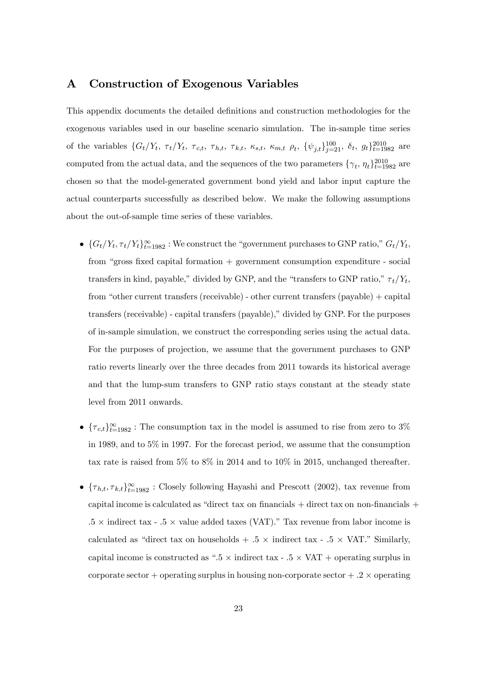# A Construction of Exogenous Variables

This appendix documents the detailed definitions and construction methodologies for the exogenous variables used in our baseline scenario simulation. The in-sample time series of the variables  $\{G_t/Y_t, \tau_t/Y_t, \tau_{c,t}, \tau_{h,t}, \tau_{k,t}, \kappa_{s,t}, \kappa_{m,t} \rho_t, \{\psi_{j,t}\}_{j=21}^{100}, \delta_t, g_t\}_{t=1982}^{2010}$  are computed from the actual data, and the sequences of the two parameters  $\{\gamma_t, \eta_t\}_{t=1982}^{2010}$  are chosen so that the model-generated government bond yield and labor input capture the actual counterparts successfully as described below. We make the following assumptions about the out-of-sample time series of these variables.

- $\{G_t/Y_t, \tau_t/Y_t\}_{t=1982}^{\infty}$ : We construct the "government purchases to GNP ratio,"  $G_t/Y_t$ , from "gross fixed capital formation  $+$  government consumption expenditure - social transfers in kind, payable," divided by GNP, and the "transfers to GNP ratio,"  $\tau_t/Y_t$ , from "other current transfers (receivable) - other current transfers (payable) + capital transfers (receivable) - capital transfers (payable)," divided by GNP. For the purposes of in-sample simulation, we construct the corresponding series using the actual data. For the purposes of projection, we assume that the government purchases to GNP ratio reverts linearly over the three decades from 2011 towards its historical average and that the lump-sum transfers to GNP ratio stays constant at the steady state level from 2011 onwards.
- $\bullet$   $\{\tau_{c,t}\}_{t=1982}^{\infty}$ : The consumption tax in the model is assumed to rise from zero to 3% in 1989, and to 5% in 1997. For the forecast period, we assume that the consumption tax rate is raised from 5% to 8% in 2014 and to 10% in 2015, unchanged thereafter.
- $\bullet$   $\{\tau_{h,t}, \tau_{k,t}\}_{t=1982}^{\infty}$ : Closely following Hayashi and Prescott (2002), tax revenue from capital income is calculated as "direct tax on financials  $+$  direct tax on non-financials  $+$  $.5 \times$  indirect tax -  $.5 \times$  value added taxes (VAT)." Tax revenue from labor income is calculated as "direct tax on households  $+ .5 \times \text{indirect tax} - .5 \times \text{VAT."}$  Similarly, capital income is constructed as ".5  $\times$  indirect tax - .5  $\times$  VAT + operating surplus in corporate sector  $+$  operating surplus in housing non-corporate sector  $+ .2 \times$  operating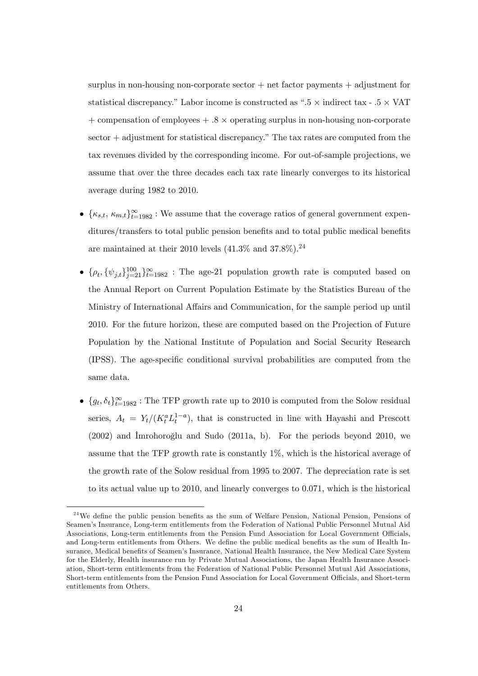surplus in non-housing non-corporate sector  $+$  net factor payments  $+$  adjustment for statistical discrepancy." Labor income is constructed as ".5  $\times$  indirect tax - .5  $\times$  VAT  $+$  compensation of employees  $+ .8 \times$  operating surplus in non-housing non-corporate  $\text{sector} + \text{adjustment}$  for statistical discrepancy." The tax rates are computed from the tax revenues divided by the corresponding income. For out-of-sample projections, we assume that over the three decades each tax rate linearly converges to its historical average during 1982 to 2010.

- $\bullet$  { $\kappa_{s,t}$ ,  $\kappa_{m,t}$ } $\sum_{t=1982}^{\infty}$ : We assume that the coverage ratios of general government expenditures/transfers to total public pension benefits and to total public medical benefits are maintained at their 2010 levels  $(41.3\% \text{ and } 37.8\%).^{24}$
- $\bullet$  { $\rho_t$ , { $\psi_{j,t}$ } $_{j=21}^{100}$ } $_{t=1982}^{\infty}$  : The age-21 population growth rate is computed based on the Annual Report on Current Population Estimate by the Statistics Bureau of the Ministry of International Affairs and Communication, for the sample period up until 2010. For the future horizon, these are computed based on the Projection of Future Population by the National Institute of Population and Social Security Research (IPSS). The age-speciÖc conditional survival probabilities are computed from the same data.
- $\{g_t, \delta_t\}_{t=1982}^{\infty}$ : The TFP growth rate up to 2010 is computed from the Solow residual series,  $A_t = Y_t/(K_t^a L_t^{1-a})$ , that is constructed in line with Hayashi and Prescott  $(2002)$  and Imrohoroglu and Sudo  $(2011a, b)$ . For the periods beyond 2010, we assume that the TFP growth rate is constantly 1%, which is the historical average of the growth rate of the Solow residual from 1995 to 2007. The depreciation rate is set to its actual value up to 2010, and linearly converges to 0.071, which is the historical

 $24$ We define the public pension benefits as the sum of Welfare Pension, National Pension, Pensions of Seamenís Insurance, Long-term entitlements from the Federation of National Public Personnel Mutual Aid Associations, Long-term entitlements from the Pension Fund Association for Local Government Officials, and Long-term entitlements from Others. We define the public medical benefits as the sum of Health Insurance, Medical benefits of Seamen's Insurance, National Health Insurance, the New Medical Care System for the Elderly, Health insurance run by Private Mutual Associations, the Japan Health Insurance Association, Short-term entitlements from the Federation of National Public Personnel Mutual Aid Associations, Short-term entitlements from the Pension Fund Association for Local Government Officials, and Short-term entitlements from Others.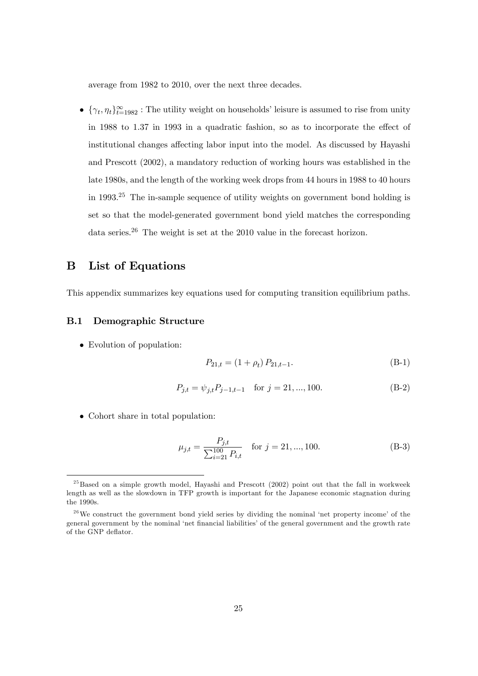average from 1982 to 2010, over the next three decades.

•  $\{\gamma_t, \eta_t\}_{t=1982}^{\infty}$ : The utility weight on households' leisure is assumed to rise from unity in 1988 to 1.37 in 1993 in a quadratic fashion, so as to incorporate the effect of institutional changes affecting labor input into the model. As discussed by Hayashi and Prescott (2002), a mandatory reduction of working hours was established in the late 1980s, and the length of the working week drops from 44 hours in 1988 to 40 hours in 1993.<sup>25</sup> The in-sample sequence of utility weights on government bond holding is set so that the model-generated government bond yield matches the corresponding data series.<sup>26</sup> The weight is set at the 2010 value in the forecast horizon.

# B List of Equations

This appendix summarizes key equations used for computing transition equilibrium paths.

#### B.1 Demographic Structure

Evolution of population:

$$
P_{21,t} = (1 + \rho_t) P_{21,t-1}.
$$
 (B-1)

$$
P_{j,t} = \psi_{j,t} P_{j-1,t-1} \quad \text{for } j = 21, ..., 100.
$$
 (B-2)

Cohort share in total population:

$$
\mu_{j,t} = \frac{P_{j,t}}{\sum_{i=21}^{100} P_{i,t}} \quad \text{for } j = 21, ..., 100.
$$
 (B-3)

 $^{25}$ Based on a simple growth model, Hayashi and Prescott (2002) point out that the fall in workweek length as well as the slowdown in TFP growth is important for the Japanese economic stagnation during the 1990s.

 $2<sup>6</sup>$ We construct the government bond yield series by dividing the nominal 'net property income' of the general government by the nominal 'net financial liabilities' of the general government and the growth rate of the GNP deflator.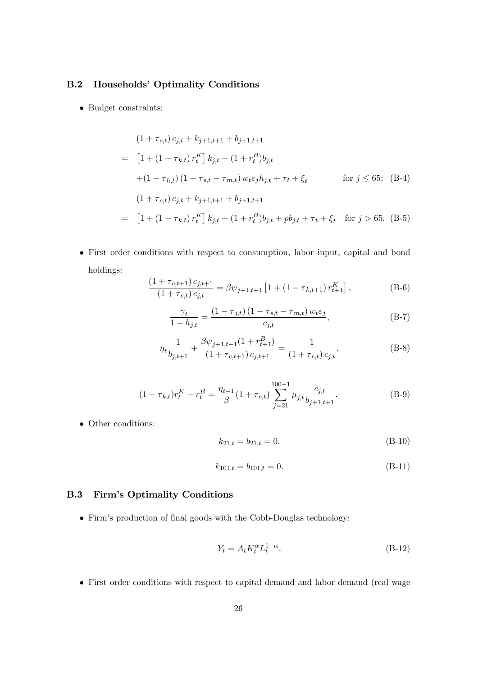# B.2 Households' Optimality Conditions

Budget constraints:

$$
(1 + \tau_{c,t}) c_{j,t} + k_{j+1,t+1} + b_{j+1,t+1}
$$
  
\n
$$
= [1 + (1 - \tau_{k,t}) r_t^K] k_{j,t} + (1 + r_t^B) b_{j,t}
$$
  
\n
$$
+ (1 - \tau_{h,t}) (1 - \tau_{s,t} - \tau_{m,t}) w_t \varepsilon_j h_{j,t} + \tau_t + \xi_t \qquad \text{for } j \le 65; \quad \text{(B-4)}
$$
  
\n
$$
(1 + \tau_{c,t}) c_{j,t} + k_{j+1,t+1} + b_{j+1,t+1}
$$
  
\n
$$
= [1 + (1 - \tau_{k,t}) r_t^K] k_{j,t} + (1 + r_t^B) b_{j,t} + p b_{j,t} + \tau_t + \xi_t \quad \text{for } j > 65. \quad \text{(B-5)}
$$

 First order conditions with respect to consumption, labor input, capital and bond holdings:

$$
\frac{(1+\tau_{c,t+1})c_{j,t+1}}{(1+\tau_{c,t})c_{j,t}} = \beta \psi_{j+1,t+1} \left[ 1 + (1-\tau_{k,t+1})r_{t+1}^K \right],
$$
 (B-6)

$$
\frac{\gamma_t}{1 - h_{j,t}} = \frac{\left(1 - \tau_{j,t}\right)\left(1 - \tau_{s,t} - \tau_{m,t}\right)w_t\varepsilon_j}{c_{j,t}},\tag{B-7}
$$

$$
\eta_t \frac{1}{b_{j,t+1}} + \frac{\beta \psi_{j+1,t+1} (1 + r_{t+1}^B)}{(1 + \tau_{c,t+1}) c_{j,t+1}} = \frac{1}{(1 + \tau_{c,t}) c_{j,t}},
$$
(B-8)

$$
(1 - \tau_{k,t})r_t^K - r_t^B = \frac{\eta_{t-1}}{\beta}(1 + \tau_{c,t}) \sum_{j=21}^{100-1} \mu_{j,t} \frac{c_{j,t}}{b_{j+1,t+1}}.
$$
 (B-9)

• Other conditions:

$$
k_{21,t} = b_{21,t} = 0.
$$
 (B-10)

$$
k_{101,t} = b_{101,t} = 0.
$$
 (B-11)

# B.3 Firmís Optimality Conditions

 $\bullet\,$  Firm's production of final goods with the Cobb-Douglas technology:

$$
Y_t = A_t K_t^{\alpha} L_t^{1-\alpha}.
$$
 (B-12)

First order conditions with respect to capital demand and labor demand (real wage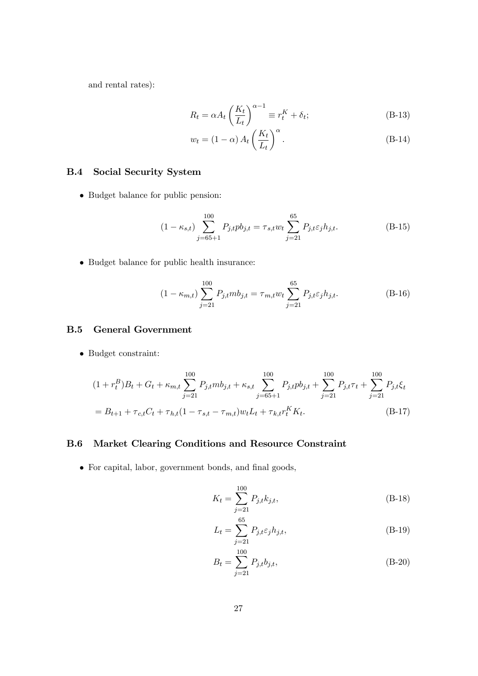and rental rates):

$$
R_t = \alpha A_t \left(\frac{K_t}{L_t}\right)^{\alpha - 1} \equiv r_t^K + \delta_t; \tag{B-13}
$$

$$
w_t = (1 - \alpha) A_t \left(\frac{K_t}{L_t}\right)^{\alpha}.
$$
 (B-14)

#### B.4 Social Security System

Budget balance for public pension:

$$
(1 - \kappa_{s,t}) \sum_{j=65+1}^{100} P_{j,t} p_{j,t} = \tau_{s,t} w_t \sum_{j=21}^{65} P_{j,t} \varepsilon_j h_{j,t}.
$$
 (B-15)

Budget balance for public health insurance:

$$
(1 - \kappa_{m,t}) \sum_{j=21}^{100} P_{j,t} m b_{j,t} = \tau_{m,t} w_t \sum_{j=21}^{65} P_{j,t} \varepsilon_j h_{j,t}.
$$
 (B-16)

#### B.5 General Government

 $\bullet\,$  Budget constraint:

$$
(1 + r_t^B)B_t + G_t + \kappa_{m,t} \sum_{j=21}^{100} P_{j,t}mb_{j,t} + \kappa_{s,t} \sum_{j=65+1}^{100} P_{j,t}pb_{j,t} + \sum_{j=21}^{100} P_{j,t}\tau_t + \sum_{j=21}^{100} P_{j,t}\xi_t
$$
  
=  $B_{t+1} + \tau_{c,t}C_t + \tau_{h,t}(1 - \tau_{s,t} - \tau_{m,t})w_t L_t + \tau_{k,t}r_t^K K_t.$  (B-17)

# B.6 Market Clearing Conditions and Resource Constraint

• For capital, labor, government bonds, and final goods,

$$
K_t = \sum_{j=21}^{100} P_{j,t} k_{j,t},
$$
 (B-18)

$$
L_t = \sum_{j=21}^{65} P_{j,t} \varepsilon_j h_{j,t},
$$
 (B-19)

$$
B_t = \sum_{j=21}^{100} P_{j,t} b_{j,t},
$$
 (B-20)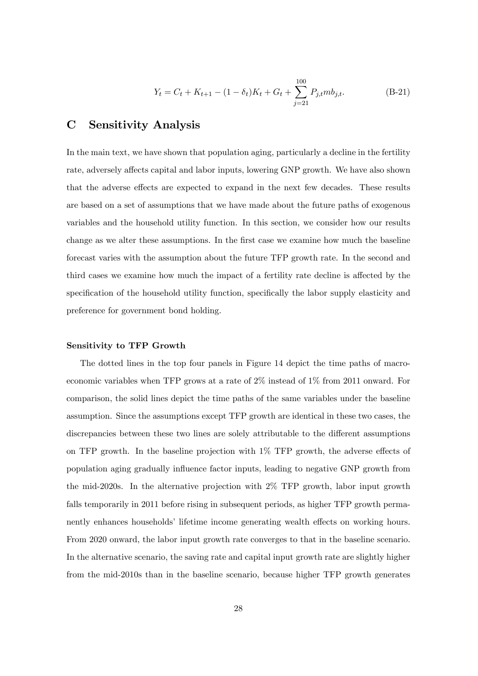$$
Y_t = C_t + K_{t+1} - (1 - \delta_t)K_t + G_t + \sum_{j=21}^{100} P_{j,t}mb_{j,t}.
$$
 (B-21)

# C Sensitivity Analysis

In the main text, we have shown that population aging, particularly a decline in the fertility rate, adversely affects capital and labor inputs, lowering GNP growth. We have also shown that the adverse effects are expected to expand in the next few decades. These results are based on a set of assumptions that we have made about the future paths of exogenous variables and the household utility function. In this section, we consider how our results change as we alter these assumptions. In the Örst case we examine how much the baseline forecast varies with the assumption about the future TFP growth rate. In the second and third cases we examine how much the impact of a fertility rate decline is affected by the specification of the household utility function, specifically the labor supply elasticity and preference for government bond holding.

#### Sensitivity to TFP Growth

The dotted lines in the top four panels in Figure 14 depict the time paths of macroeconomic variables when TFP grows at a rate of 2% instead of 1% from 2011 onward. For comparison, the solid lines depict the time paths of the same variables under the baseline assumption. Since the assumptions except TFP growth are identical in these two cases, the discrepancies between these two lines are solely attributable to the different assumptions on TFP growth. In the baseline projection with  $1\%$  TFP growth, the adverse effects of population aging gradually ináuence factor inputs, leading to negative GNP growth from the mid-2020s. In the alternative projection with 2% TFP growth, labor input growth falls temporarily in 2011 before rising in subsequent periods, as higher TFP growth permanently enhances households' lifetime income generating wealth effects on working hours. From 2020 onward, the labor input growth rate converges to that in the baseline scenario. In the alternative scenario, the saving rate and capital input growth rate are slightly higher from the mid-2010s than in the baseline scenario, because higher TFP growth generates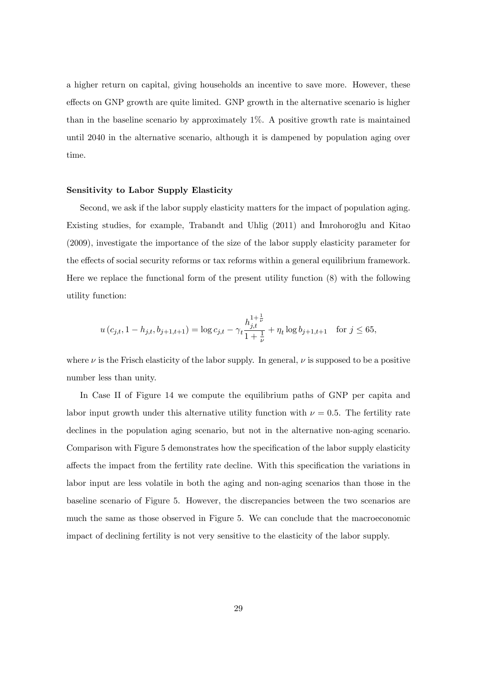a higher return on capital, giving households an incentive to save more. However, these effects on GNP growth are quite limited. GNP growth in the alternative scenario is higher than in the baseline scenario by approximately 1%. A positive growth rate is maintained until 2040 in the alternative scenario, although it is dampened by population aging over time.

#### Sensitivity to Labor Supply Elasticity

Second, we ask if the labor supply elasticity matters for the impact of population aging. Existing studies, for example, Trabandt and Uhlig (2011) and Imrohoroglu and Kitao (2009), investigate the importance of the size of the labor supply elasticity parameter for the effects of social security reforms or tax reforms within a general equilibrium framework. Here we replace the functional form of the present utility function (8) with the following utility function:

$$
u(c_{j,t}, 1 - h_{j,t}, b_{j+1,t+1}) = \log c_{j,t} - \gamma_t \frac{h_{j,t}^{1+\frac{1}{\nu}}}{1+\frac{1}{\nu}} + \eta_t \log b_{j+1,t+1} \quad \text{for } j \le 65,
$$

where  $\nu$  is the Frisch elasticity of the labor supply. In general,  $\nu$  is supposed to be a positive number less than unity.

In Case II of Figure 14 we compute the equilibrium paths of GNP per capita and labor input growth under this alternative utility function with  $\nu = 0.5$ . The fertility rate declines in the population aging scenario, but not in the alternative non-aging scenario. Comparison with Figure 5 demonstrates how the specification of the labor supply elasticity affects the impact from the fertility rate decline. With this specification the variations in labor input are less volatile in both the aging and non-aging scenarios than those in the baseline scenario of Figure 5. However, the discrepancies between the two scenarios are much the same as those observed in Figure 5. We can conclude that the macroeconomic impact of declining fertility is not very sensitive to the elasticity of the labor supply.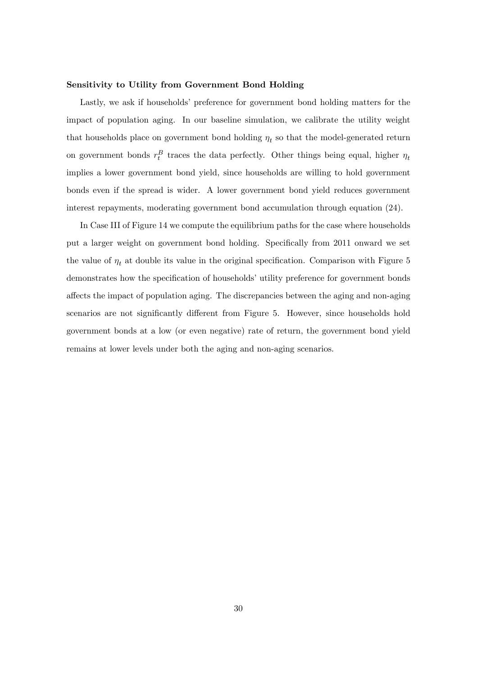#### Sensitivity to Utility from Government Bond Holding

Lastly, we ask if households' preference for government bond holding matters for the impact of population aging. In our baseline simulation, we calibrate the utility weight that households place on government bond holding  $\eta_t$  so that the model-generated return on government bonds  $r_t^B$  traces the data perfectly. Other things being equal, higher  $\eta_t$ implies a lower government bond yield, since households are willing to hold government bonds even if the spread is wider. A lower government bond yield reduces government interest repayments, moderating government bond accumulation through equation (24).

In Case III of Figure 14 we compute the equilibrium paths for the case where households put a larger weight on government bond holding. Specifically from 2011 onward we set the value of  $\eta_t$  at double its value in the original specification. Comparison with Figure 5 demonstrates how the specification of households' utility preference for government bonds a§ects the impact of population aging. The discrepancies between the aging and non-aging scenarios are not significantly different from Figure 5. However, since households hold government bonds at a low (or even negative) rate of return, the government bond yield remains at lower levels under both the aging and non-aging scenarios.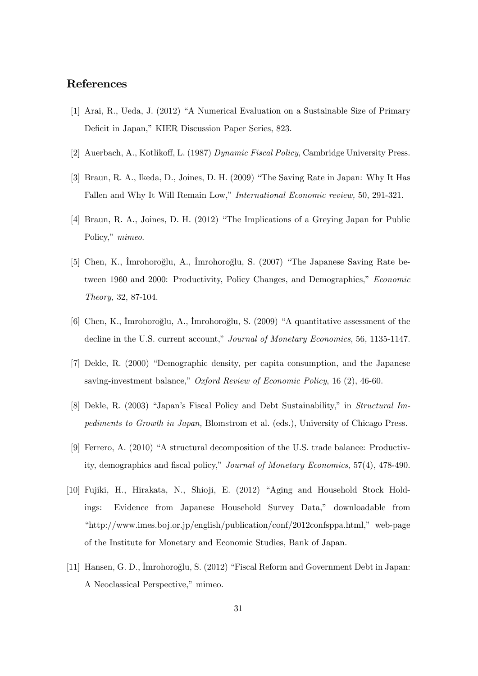# References

- [1] Arai, R., Ueda, J. (2012) "A Numerical Evaluation on a Sustainable Size of Primary Deficit in Japan," KIER Discussion Paper Series, 823.
- [2] Auerbach, A., Kotlikoff, L. (1987) Dynamic Fiscal Policy, Cambridge University Press.
- [3] Braun, R. A., Ikeda, D., Joines, D. H. (2009) "The Saving Rate in Japan: Why It Has Fallen and Why It Will Remain Low," *International Economic review*, 50, 291-321.
- [4] Braun, R. A., Joines, D. H. (2012) "The Implications of a Greying Japan for Public Policy," mimeo.
- [5] Chen, K., Imrohoroğlu, A., Imrohoroğlu, S. (2007) "The Japanese Saving Rate between 1960 and 2000: Productivity, Policy Changes, and Demographics," *Economic* Theory, 32, 87-104.
- [6] Chen, K., Imrohoroğlu, A., Imrohoroğlu, S.  $(2009)$  "A quantitative assessment of the decline in the U.S. current account," Journal of Monetary Economics, 56, 1135-1147.
- [7] Dekle, R. (2000) "Demographic density, per capita consumption, and the Japanese saving-investment balance," Oxford Review of Economic Policy, 16  $(2)$ , 46-60.
- [8] Dekle, R. (2003) "Japan's Fiscal Policy and Debt Sustainability," in *Structural Im*pediments to Growth in Japan, Blomstrom et al. (eds.), University of Chicago Press.
- [9] Ferrero, A. (2010) "A structural decomposition of the U.S. trade balance: Productivity, demographics and fiscal policy," Journal of Monetary Economics, 57(4), 478-490.
- [10] Fujiki, H., Hirakata, N., Shioji, E. (2012) "Aging and Household Stock Holdings: Evidence from Japanese Household Survey Data," downloadable from  $\hat{i}$ http://www.imes.boj.or.jp/english/publication/conf/2012confsppa.html," web-page of the Institute for Monetary and Economic Studies, Bank of Japan.
- [11] Hansen, G. D., Imrohoroğlu, S. (2012) "Fiscal Reform and Government Debt in Japan: A Neoclassical Perspective," mimeo.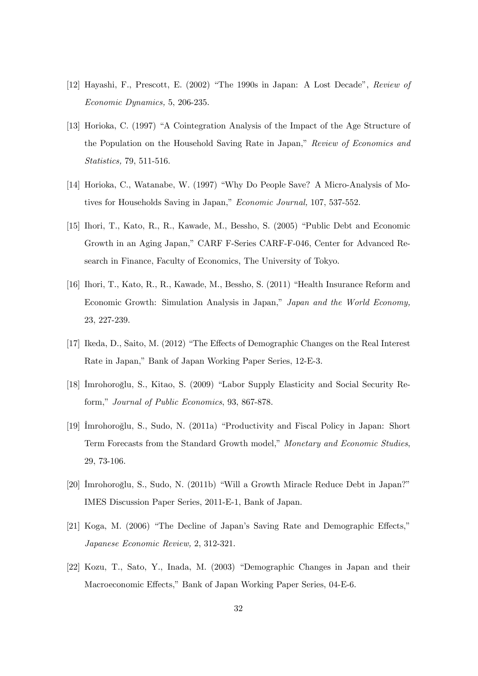- [12] Hayashi, F., Prescott, E. (2002) "The 1990s in Japan: A Lost Decade", Review of Economic Dynamics, 5, 206-235.
- [13] Horioka, C. (1997) "A Cointegration Analysis of the Impact of the Age Structure of the Population on the Household Saving Rate in Japan," Review of Economics and Statistics, 79, 511-516.
- [14] Horioka, C., Watanabe, W. (1997) "Why Do People Save? A Micro-Analysis of Motives for Households Saving in Japan," Economic Journal, 107, 537-552.
- [15] Ihori, T., Kato, R., R., Kawade, M., Bessho, S. (2005) "Public Debt and Economic Growth in an Aging Japan," CARF F-Series CARF-F-046, Center for Advanced Research in Finance, Faculty of Economics, The University of Tokyo.
- [16] Ihori, T., Kato, R., R., Kawade, M., Bessho, S. (2011) "Health Insurance Reform and Economic Growth: Simulation Analysis in Japan," Japan and the World Economy, 23, 227-239.
- [17] Ikeda, D., Saito, M. (2012) "The Effects of Demographic Changes on the Real Interest Rate in Japan," Bank of Japan Working Paper Series, 12-E-3.
- [18] Imrohoroğlu, S., Kitao, S. (2009) "Labor Supply Elasticity and Social Security Reform," Journal of Public Economics, 93, 867-878.
- [19] Imrohoroğlu, S., Sudo, N. (2011a) "Productivity and Fiscal Policy in Japan: Short Term Forecasts from the Standard Growth model," Monetary and Economic Studies, 29, 73-106.
- [20] Imrohoroğlu, S., Sudo, N. (2011b) "Will a Growth Miracle Reduce Debt in Japan?" IMES Discussion Paper Series, 2011-E-1, Bank of Japan.
- [21] Koga, M. (2006) "The Decline of Japan's Saving Rate and Demographic Effects," Japanese Economic Review, 2, 312-321.
- $[22]$  Kozu, T., Sato, Y., Inada, M.  $(2003)$  "Demographic Changes in Japan and their Macroeconomic Effects," Bank of Japan Working Paper Series, 04-E-6.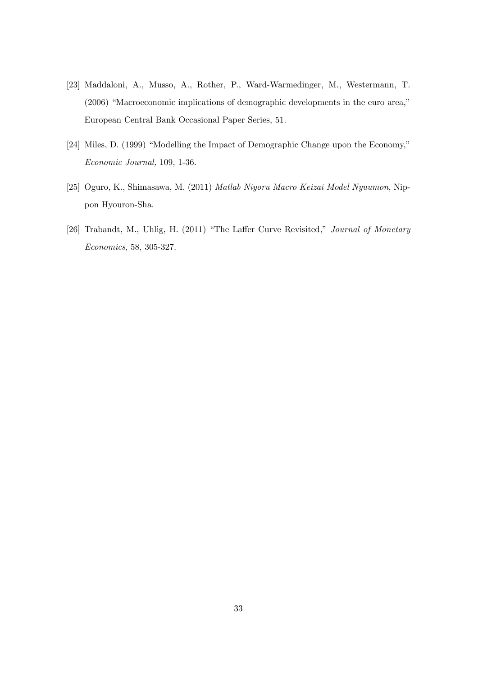- [23] Maddaloni, A., Musso, A., Rother, P., Ward-Warmedinger, M., Westermann, T.  $(2006)$  "Macroeconomic implications of demographic developments in the euro area," European Central Bank Occasional Paper Series, 51.
- [24] Miles, D. (1999) "Modelling the Impact of Demographic Change upon the Economy," Economic Journal, 109, 1-36.
- [25] Oguro, K., Shimasawa, M. (2011) Matlab Niyoru Macro Keizai Model Nyuumon, Nippon Hyouron-Sha.
- [26] Trabandt, M., Uhlig, H. (2011) "The Laffer Curve Revisited," Journal of Monetary Economics, 58, 305-327.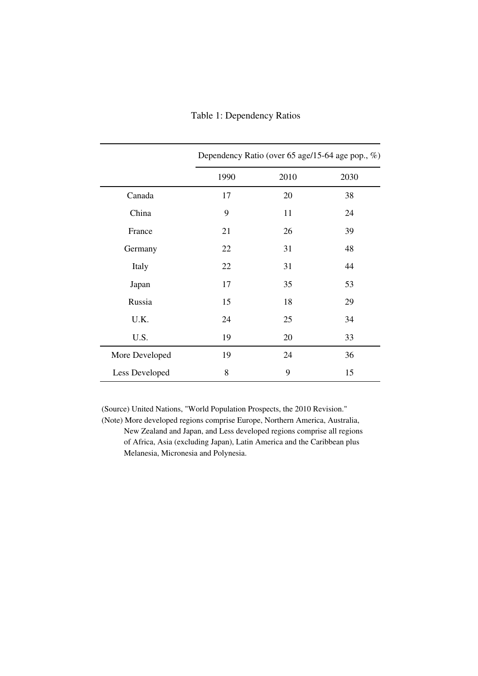|                | Dependency Ratio (over 65 age/15-64 age pop., %) |      |      |  |
|----------------|--------------------------------------------------|------|------|--|
|                | 1990                                             | 2010 | 2030 |  |
| Canada         | 17                                               | 20   | 38   |  |
| China          | 9                                                | 11   | 24   |  |
| France         | 21                                               | 26   | 39   |  |
| Germany        | 22                                               | 31   | 48   |  |
| Italy          | 22                                               | 31   | 44   |  |
| Japan          | 17                                               | 35   | 53   |  |
| Russia         | 15                                               | 18   | 29   |  |
| U.K.           | 24                                               | 25   | 34   |  |
| U.S.           | 19                                               | 20   | 33   |  |
| More Developed | 19                                               | 24   | 36   |  |
| Less Developed | 8                                                | 9    | 15   |  |

Table 1: Dependency Ratios

(Source) United Nations, "World Population Prospects, the 2010 Revision."

(Note) More developed regions comprise Europe, Northern America, Australia, New Zealand and Japan, and Less developed regions comprise all regions of Africa, Asia (excluding Japan), Latin America and the Caribbean plus Melanesia, Micronesia and Polynesia.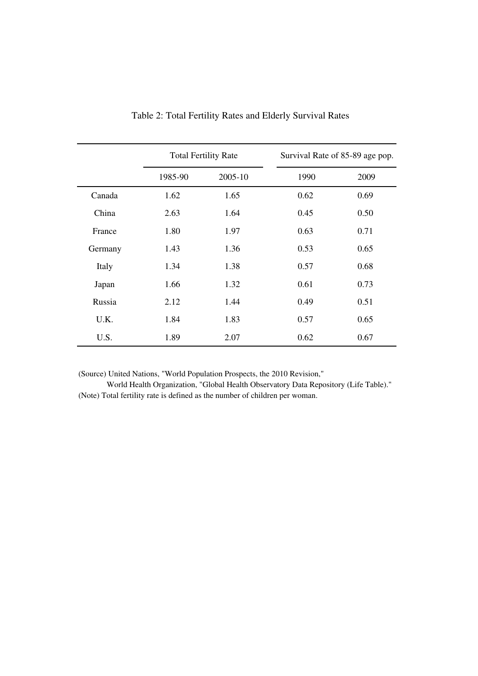|         | <b>Total Fertility Rate</b> |         | Survival Rate of 85-89 age pop. |      |  |  |
|---------|-----------------------------|---------|---------------------------------|------|--|--|
|         | 1985-90                     | 2005-10 | 1990                            | 2009 |  |  |
| Canada  | 1.62                        | 1.65    | 0.62                            | 0.69 |  |  |
| China   | 2.63                        | 1.64    | 0.45                            | 0.50 |  |  |
| France  | 1.80                        | 1.97    | 0.63                            | 0.71 |  |  |
| Germany | 1.43                        | 1.36    | 0.53                            | 0.65 |  |  |
| Italy   | 1.34                        | 1.38    | 0.57                            | 0.68 |  |  |
| Japan   | 1.66                        | 1.32    | 0.61                            | 0.73 |  |  |
| Russia  | 2.12                        | 1.44    | 0.49                            | 0.51 |  |  |
| U.K.    | 1.84                        | 1.83    | 0.57                            | 0.65 |  |  |
| U.S.    | 1.89                        | 2.07    | 0.62                            | 0.67 |  |  |

Table 2: Total Fertility Rates and Elderly Survival Rates

(Source) United Nations, "World Population Prospects, the 2010 Revision,"

 World Health Organization, "Global Health Observatory Data Repository (Life Table)." (Note) Total fertility rate is defined as the number of children per woman.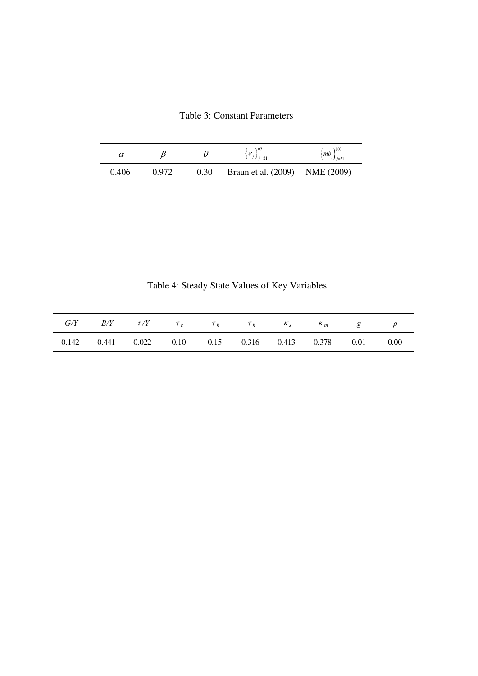Table 3: Constant Parameters

| α     |       | $\theta$ | $\left\{ \varepsilon_{j}\right\} _{i=21}^{65}$ | ${m b_j}_{j=21}^{100}$ |
|-------|-------|----------|------------------------------------------------|------------------------|
| 0.406 | 0.972 | 0.30     | Braun et al. (2009) NME (2009)                 |                        |

Table 4: Steady State Values of Key Variables

|  | $G/Y$ $B/Y$ $\tau/Y$ $\tau_c$ $\tau_h$ $\tau_k$ $\kappa_s$ $\kappa_m$ $g$ $\rho$ |  |  |  |  |
|--|----------------------------------------------------------------------------------|--|--|--|--|
|  | $0.142$ $0.441$ $0.022$ $0.10$ $0.15$ $0.316$ $0.413$ $0.378$ $0.01$ $0.00$      |  |  |  |  |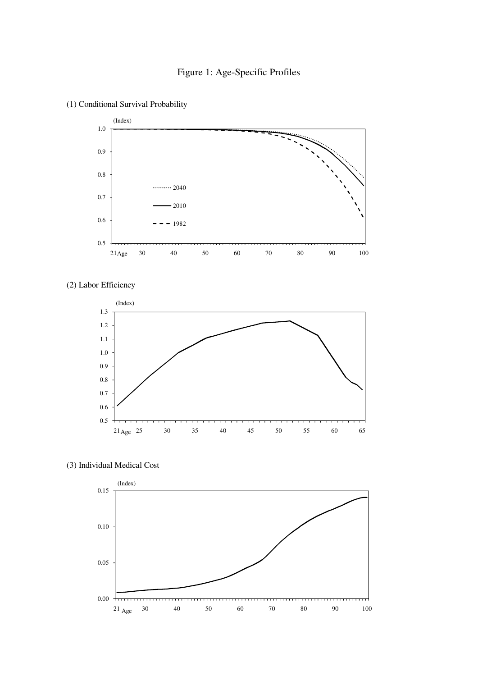

# (1) Conditional Survival Probability





### (3) Individual Medical Cost

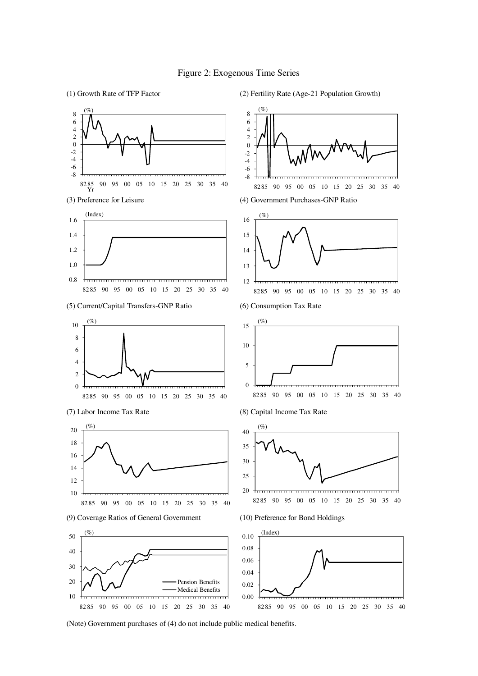

(Note) Government purchases of (4) do not include public medical benefits.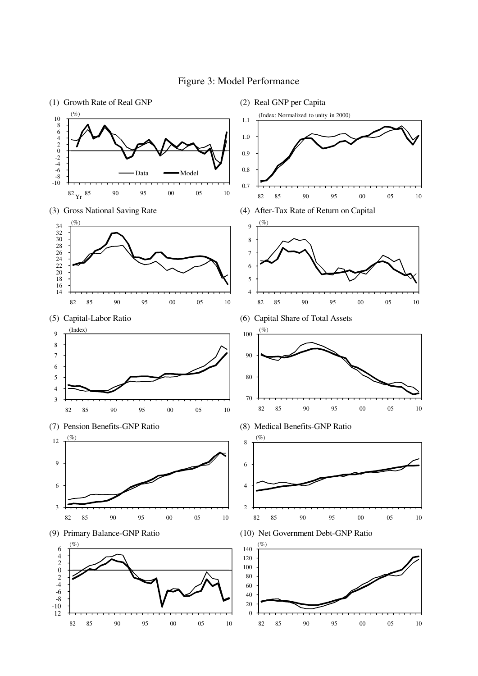![](_page_39_Figure_0.jpeg)

# Figure 3: Model Performance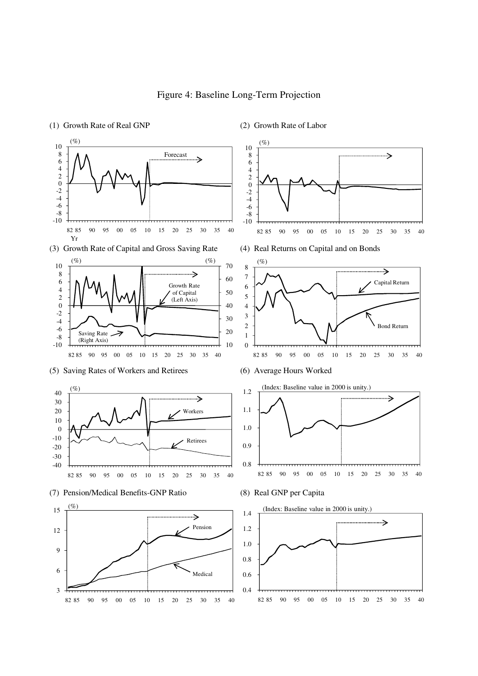![](_page_40_Figure_0.jpeg)

# Figure 4: Baseline Long-Term Projection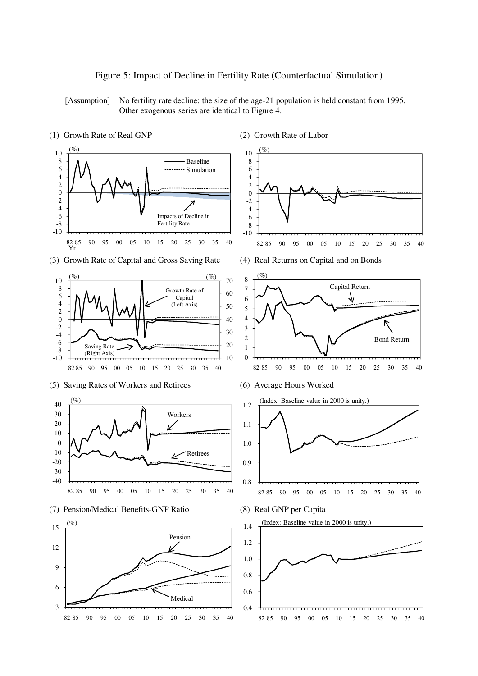![](_page_41_Figure_0.jpeg)

[Assumption] No fertility rate decline: the size of the age-21 population is held constant from 1995. Other exogenous series are identical to Figure 4.

![](_page_41_Figure_2.jpeg)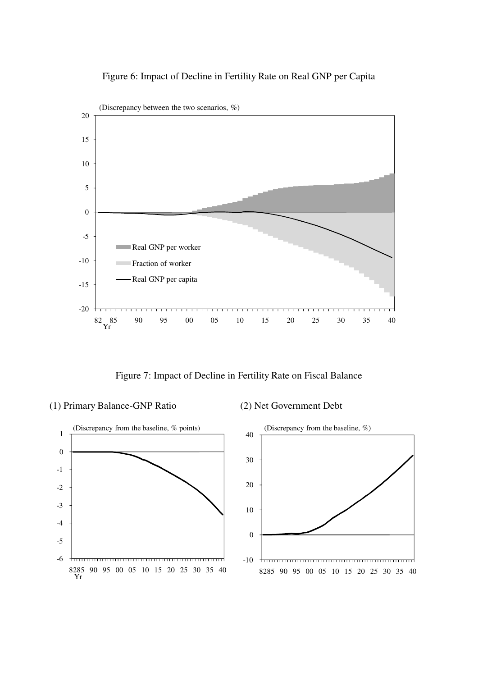![](_page_42_Figure_0.jpeg)

![](_page_42_Figure_1.jpeg)

Figure 7: Impact of Decline in Fertility Rate on Fiscal Balance

### (1) Primary Balance-GNP Ratio (2) Net Government Debt

![](_page_42_Figure_5.jpeg)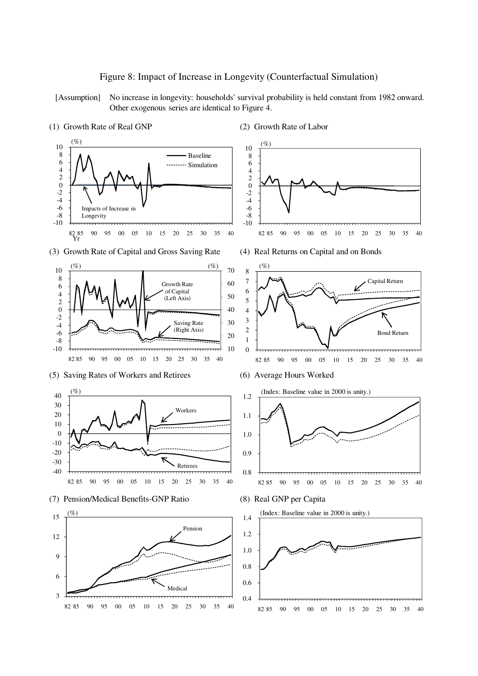![](_page_43_Figure_0.jpeg)

[Assumption] No increase in longevity: households' survival probability is held constant from 1982 onward. Other exogenous series are identical to Figure 4.

![](_page_43_Figure_2.jpeg)

(1) Growth Rate of Real GNP (2) Growth Rate of Labor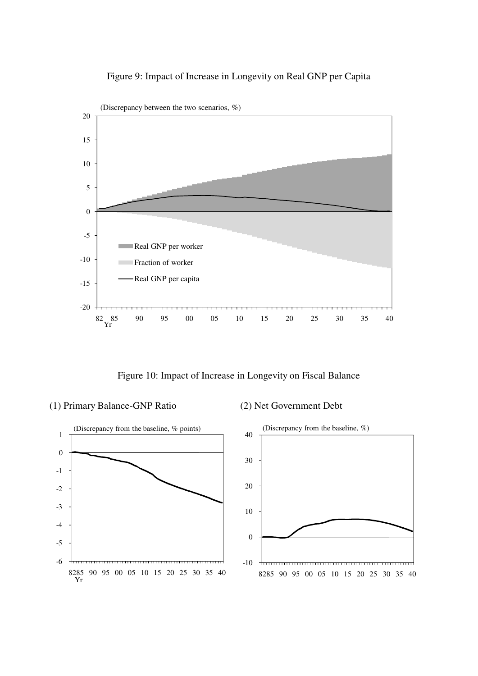![](_page_44_Figure_0.jpeg)

# Figure 9: Impact of Increase in Longevity on Real GNP per Capita

Figure 10: Impact of Increase in Longevity on Fiscal Balance

#### (1) Primary Balance-GNP Ratio (2) Net Government Debt

![](_page_44_Figure_4.jpeg)

![](_page_44_Figure_5.jpeg)

![](_page_44_Figure_6.jpeg)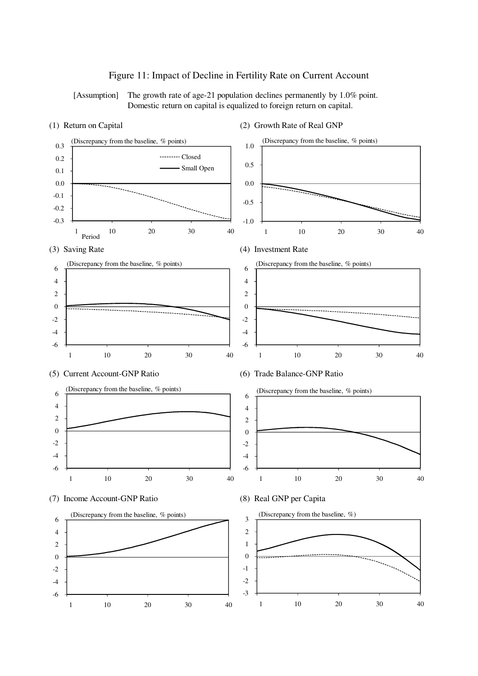# Figure 11: Impact of Decline in Fertility Rate on Current Account

[Assumption] The growth rate of age-21 population declines permanently by 1.0% point. Domestic return on capital is equalized to foreign return on capital.

![](_page_45_Figure_2.jpeg)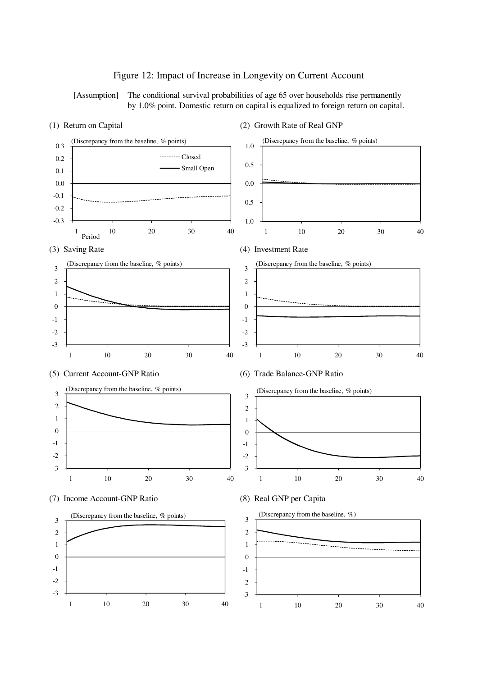# Figure 12: Impact of Increase in Longevity on Current Account

[Assumption] The conditional survival probabilities of age 65 over households rise permanently by 1.0% point. Domestic return on capital is equalized to foreign return on capital.

![](_page_46_Figure_2.jpeg)

# (1) Return on Capital (2) Growth Rate of Real GNP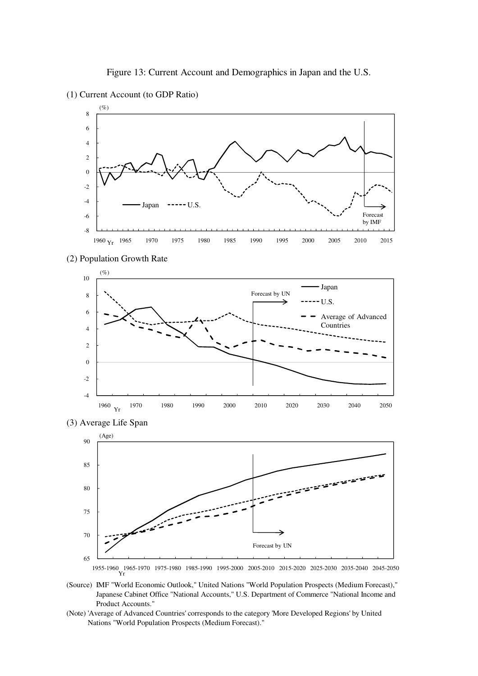![](_page_47_Figure_0.jpeg)

![](_page_47_Figure_1.jpeg)

(1) Current Account (to GDP Ratio)

![](_page_47_Figure_3.jpeg)

![](_page_47_Figure_4.jpeg)

![](_page_47_Figure_5.jpeg)

![](_page_47_Figure_6.jpeg)

1955-1960 1965-1970 1975-1980 1985-1990 1995-2000 2005-2010 2015-2020 2025-2030 2035-2040 2045-2050 Yr

(Source) IMF "World Economic Outlook," United Nations "World Population Prospects (Medium Forecast)," Japanese Cabinet Office "National Accounts," U.S. Department of Commerce "National Income and Product Accounts."

(Note) 'Average of Advanced Countries' corresponds to the category 'More Developed Regions' by United Nations "World Population Prospects (Medium Forecast)."